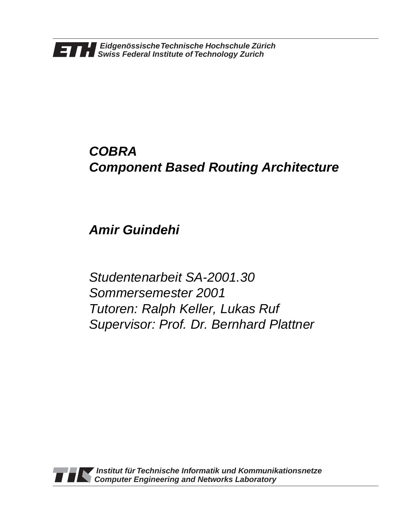

# **COBRA Component Based Routing Architecture**

**Amir Guindehi**

Studentenarbeit SA-2001.30 Sommersemester 2001 Tutoren: Ralph Keller, Lukas Ruf Supervisor: Prof. Dr. Bernhard Plattner

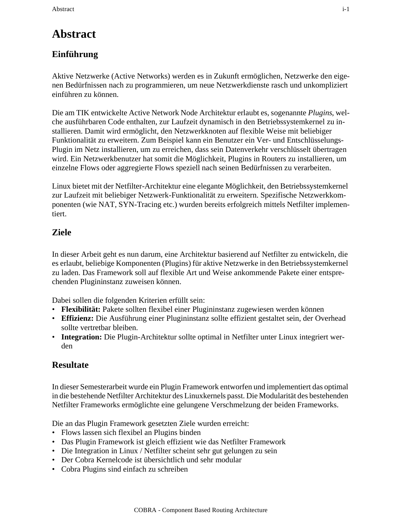# **Abstract**

#### **Einführung**

Aktive Netzwerke (Active Networks) werden es in Zukunft ermöglichen, Netzwerke den eigenen Bedürfnissen nach zu programmieren, um neue Netzwerkdienste rasch und unkompliziert einführen zu können.

Die am TIK entwickelte Active Network Node Architektur erlaubt es, sogenannte *Plugins*, welche ausführbaren Code enthalten, zur Laufzeit dynamisch in den Betriebssystemkernel zu installieren. Damit wird ermöglicht, den Netzwerkknoten auf flexible Weise mit beliebiger Funktionalität zu erweitern. Zum Beispiel kann ein Benutzer ein Ver- und Entschlüsselungs-Plugin im Netz installieren, um zu erreichen, dass sein Datenverkehr verschlüsselt übertragen wird. Ein Netzwerkbenutzer hat somit die Möglichkeit, Plugins in Routers zu installieren, um einzelne Flows oder aggregierte Flows speziell nach seinen Bedürfnissen zu verarbeiten.

Linux bietet mit der Netfilter-Architektur eine elegante Möglichkeit, den Betriebssystemkernel zur Laufzeit mit beliebiger Netzwerk-Funktionalität zu erweitern. Spezifische Netzwerkkomponenten (wie NAT, SYN-Tracing etc.) wurden bereits erfolgreich mittels Netfilter implementiert.

#### **Ziele**

In dieser Arbeit geht es nun darum, eine Architektur basierend auf Netfilter zu entwickeln, die es erlaubt, beliebige Komponenten (Plugins) für aktive Netzwerke in den Betriebssystemkernel zu laden. Das Framework soll auf flexible Art und Weise ankommende Pakete einer entsprechenden Plugininstanz zuweisen können.

Dabei sollen die folgenden Kriterien erfüllt sein:

- **Flexibilität:** Pakete sollten flexibel einer Plugininstanz zugewiesen werden können
- **Effizienz:** Die Ausführung einer Plugininstanz sollte effizient gestaltet sein, der Overhead sollte vertretbar bleiben.
- **Integration:** Die Plugin-Architektur sollte optimal in Netfilter unter Linux integriert werden

### **Resultate**

In dieser Semesterarbeit wurde ein Plugin Framework entworfen und implementiert das optimal in die bestehende Netfilter Architektur des Linuxkernels passt. Die Modularität des bestehenden Netfilter Frameworks ermöglichte eine gelungene Verschmelzung der beiden Frameworks.

Die an das Plugin Framework gesetzten Ziele wurden erreicht:

- Flows lassen sich flexibel an Plugins binden
- Das Plugin Framework ist gleich effizient wie das Netfilter Framework
- Die Integration in Linux / Netfilter scheint sehr gut gelungen zu sein
- Der Cobra Kernelcode ist übersichtlich und sehr modular
- Cobra Plugins sind einfach zu schreiben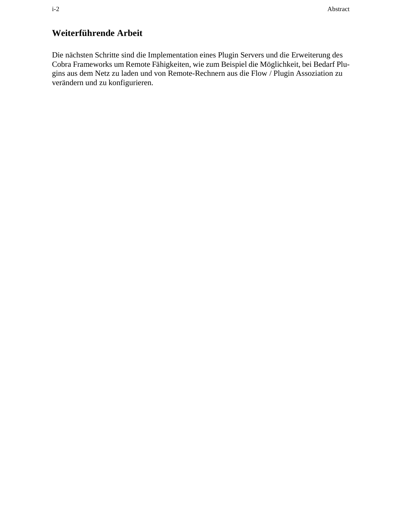### **Weiterführende Arbeit**

Die nächsten Schritte sind die Implementation eines Plugin Servers und die Erweiterung des Cobra Frameworks um Remote Fähigkeiten, wie zum Beispiel die Möglichkeit, bei Bedarf Plugins aus dem Netz zu laden und von Remote-Rechnern aus die Flow / Plugin Assoziation zu verändern und zu konfigurieren.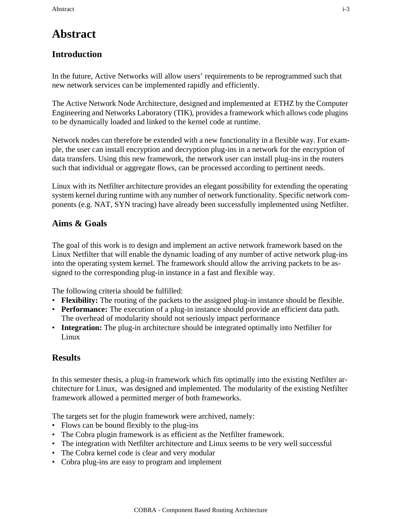# **Abstract**

#### **Introduction**

In the future, Active Networks will allow users' requirements to be reprogrammed such that new network services can be implemented rapidly and efficiently.

The Active Network Node Architecture, designed and implemented at ETHZ by the Computer Engineering and Networks Laboratory (TIK), provides a framework which allows code plugins to be dynamically loaded and linked to the kernel code at runtime.

Network nodes can therefore be extended with a new functionality in a flexible way. For example, the user can install encryption and decryption plug-ins in a network for the encryption of data transfers. Using this new framework, the network user can install plug-ins in the routers such that individual or aggregate flows, can be processed according to pertinent needs.

Linux with its Netfilter architecture provides an elegant possibility for extending the operating system kernel during runtime with any number of network functionality. Specific network components (e.g. NAT, SYN tracing) have already been successfully implemented using Netfilter.

#### **Aims & Goals**

The goal of this work is to design and implement an active network framework based on the Linux Netfilter that will enable the dynamic loading of any number of active network plug-ins into the operating system kernel. The framework should allow the arriving packets to be assigned to the corresponding plug-in instance in a fast and flexible way.

The following criteria should be fulfilled:

- **Flexibility:** The routing of the packets to the assigned plug-in instance should be flexible.
- **Performance:** The execution of a plug-in instance should provide an efficient data path. The overhead of modularity should not seriously impact performance
- **Integration:** The plug-in architecture should be integrated optimally into Netfilter for Linux

#### **Results**

In this semester thesis, a plug-in framework which fits optimally into the existing Netfilter architecture for Linux, was designed and implemented. The modularity of the existing Netfilter framework allowed a permitted merger of both frameworks.

The targets set for the plugin framework were archived, namely:

- Flows can be bound flexibly to the plug-ins
- The Cobra plugin framework is as efficient as the Netfilter framework.
- The integration with Netfilter architecture and Linux seems to be very well successful
- The Cobra kernel code is clear and very modular
- Cobra plug-ins are easy to program and implement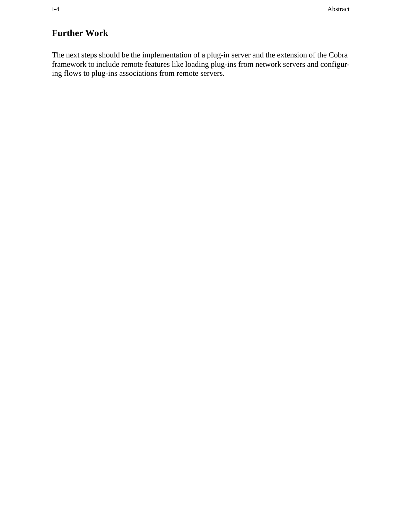### **Further Work**

The next steps should be the implementation of a plug-in server and the extension of the Cobra framework to include remote features like loading plug-ins from network servers and configuring flows to plug-ins associations from remote servers.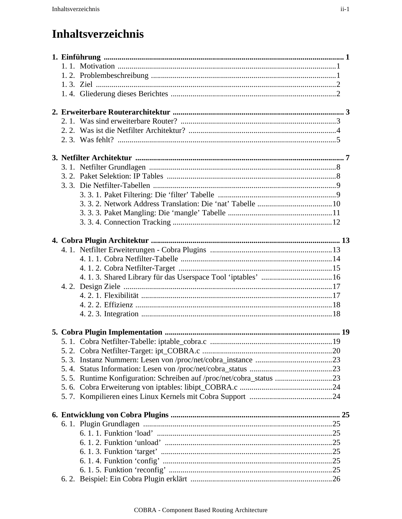# **Inhaltsverzeichnis**

|  | 5.5. Runtime Konfiguration: Schreiben auf /proc/net/cobra_status 23 |  |
|--|---------------------------------------------------------------------|--|
|  |                                                                     |  |
|  |                                                                     |  |
|  |                                                                     |  |
|  |                                                                     |  |
|  |                                                                     |  |
|  |                                                                     |  |
|  |                                                                     |  |
|  |                                                                     |  |
|  |                                                                     |  |
|  |                                                                     |  |
|  |                                                                     |  |

 $ii-1$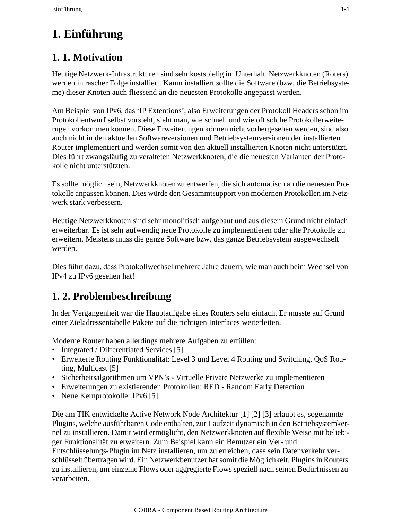# <span id="page-8-0"></span>**1. Einführung**

# <span id="page-8-1"></span>**1. 1. Motivation**

Heutige Netzwerk-Infrastrukturen sind sehr kostspielig im Unterhalt. Netzwerkknoten (Roters) werden in rascher Folge installiert. Kaum installiert sollte die Software (bzw. die Betriebsysteme) dieser Knoten auch fliessend an die neuesten Protokolle angepasst werden.

Am Beispiel von IPv6, das 'IP Extentions', also Erweiterungen der Protokoll Headers schon im Protokollentwurf selbst vorsieht, sieht man, wie schnell und wie oft solche Protokollerweiterugen vorkommen können. Diese Erweiterungen können nicht vorhergesehen werden, sind also auch nicht in den aktuellen Softwareversionen und Betriebsystemversionen der installierten Router implementiert und werden somit von den aktuell installierten Knoten nicht unterstützt. Dies führt zwangsläufig zu veralteten Netzwerkknoten, die die neuesten Varianten der Protokolle nicht unterstützten.

Es sollte möglich sein, Netzwerkknoten zu entwerfen, die sich automatisch an die neuesten Protokolle anpassen können. Dies würde den Gesammtsupport von modernen Protokollen im Netzwerk stark verbessern.

Heutige Netzwerkknoten sind sehr monolitisch aufgebaut und aus diesem Grund nicht einfach erweiterbar. Es ist sehr aufwendig neue Protokolle zu implementieren oder alte Protokolle zu erweitern. Meistens muss die ganze Software bzw. das ganze Betriebsystem ausgewechselt werden.

Dies führt dazu, dass Protokollwechsel mehrere Jahre dauern, wie man auch beim Wechsel von IPv4 zu IPv6 gesehen hat!

# <span id="page-8-2"></span>**1. 2. Problembeschreibung**

In der Vergangenheit war die Hauptaufgabe eines Routers sehr einfach. Er musste auf Grund einer Zieladressentabelle Pakete auf die richtigen Interfaces weiterleiten.

Moderne Router haben allerdings mehrere Aufgaben zu erfüllen:

- Integrated / Differentiated Services [\[5\]](#page-54-2)
- Erweiterte Routing Funktionalität: Level 3 und Level 4 Routing und Switching, QoS Routing, Multicast [\[5\]](#page-54-2)
- Sicherheitsalgorithmen um VPN's Virtuelle Private Netzwerke zu implementieren
- Erweiterungen zu existierenden Protokollen: RED Random Early Detection
- Neue Kernprotokolle: IPv6 [\[5\]](#page-54-2)

Die am TIK entwickelte Active Network Node Architektur [\[1\]](#page-54-1) [\[2\]](#page-54-3) [\[3\]](#page-54-4) erlaubt es, sogenannte Plugins, welche ausführbaren Code enthalten, zur Laufzeit dynamisch in den Betriebsystemkernel zu installieren. Damit wird ermöglicht, den Netzwerkknoten auf flexible Weise mit beliebiger Funktionalität zu erweitern. Zum Beispiel kann ein Benutzer ein Ver- und Entschlüsselungs-Plugin im Netz installieren, um zu erreichen, dass sein Datenverkehr verschlüsselt übertragen wird. Ein Netzwerkbenutzer hat somit die Möglichkeit, Plugins in Routers zu installieren, um einzelne Flows oder aggregierte Flows speziell nach seinen Bedürfnissen zu verarbeiten.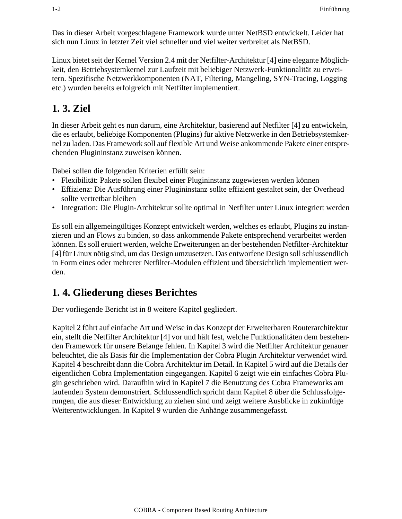Das in dieser Arbeit vorgeschlagene Framework wurde unter NetBSD entwickelt. Leider hat sich nun Linux in letzter Zeit viel schneller und viel weiter verbreitet als NetBSD.

Linux bietet seit der Kernel Version 2.4 mit der Netfilter-Architektur [\[4\]](#page-54-5) eine elegante Möglichkeit, den Betriebsystemkernel zur Laufzeit mit beliebiger Netzwerk-Funktionalität zu erweitern. Spezifische Netzwerkkomponenten (NAT, Filtering, Mangeling, SYN-Tracing, Logging etc.) wurden bereits erfolgreich mit Netfilter implementiert.

## <span id="page-9-0"></span>**1. 3. Ziel**

In dieser Arbeit geht es nun darum, eine Architektur, basierend auf Netfilter [\[4\]](#page-54-5) zu entwickeln, die es erlaubt, beliebige Komponenten (Plugins) für aktive Netzwerke in den Betriebsystemkernel zu laden. Das Framework soll auf flexible Art und Weise ankommende Pakete einer entsprechenden Plugininstanz zuweisen können.

Dabei sollen die folgenden Kriterien erfüllt sein:

- Flexibilität: Pakete sollen flexibel einer Plugininstanz zugewiesen werden können
- Effizienz: Die Ausführung einer Plugininstanz sollte effizient gestaltet sein, der Overhead sollte vertretbar bleiben
- Integration: Die Plugin-Architektur sollte optimal in Netfilter unter Linux integriert werden

Es soll ein allgemeingültiges Konzept entwickelt werden, welches es erlaubt, Plugins zu instanzieren und an Flows zu binden, so dass ankommende Pakete entsprechend verarbeitet werden können. Es soll eruiert werden, welche Erweiterungen an der bestehenden Netfilter-Architektur [\[4\]](#page-54-5) für Linux nötig sind, um das Design umzusetzen. Das entworfene Design soll schlussendlich in Form eines oder mehrerer Netfilter-Modulen effizient und übersichtlich implementiert werden.

### <span id="page-9-1"></span>**1. 4. Gliederung dieses Berichtes**

Der vorliegende Bericht ist in 8 weitere Kapitel gegliedert.

Kapitel 2 führt auf einfache Art und Weise in das Konzept der Erweiterbaren Routerarchitektur ein, stellt die Netfilter Architektur [\[4\]](#page-54-5) vor und hält fest, welche Funktionalitäten dem bestehenden Framework für unsere Belange fehlen. In Kapitel 3 wird die Netfilter Architektur genauer beleuchtet, die als Basis für die Implementation der Cobra Plugin Architektur verwendet wird. Kapitel 4 beschreibt dann die Cobra Architektur im Detail. In Kapitel 5 wird auf die Details der eigentlichen Cobra Implementation eingegangen. Kapitel 6 zeigt wie ein einfaches Cobra Plugin geschrieben wird. Daraufhin wird in Kapitel 7 die Benutzung des Cobra Frameworks am laufenden System demonstriert. Schlussendlich spricht dann Kapitel 8 über die Schlussfolgerungen, die aus dieser Entwicklung zu ziehen sind und zeigt weitere Ausblicke in zukünftige Weiterentwicklungen. In Kapitel 9 wurden die Anhänge zusammengefasst.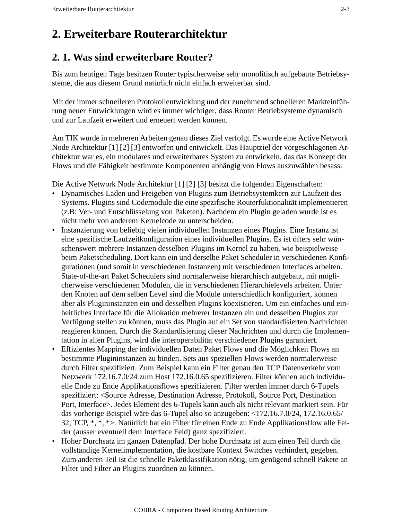# <span id="page-10-0"></span>**2. Erweiterbare Routerarchitektur**

### <span id="page-10-1"></span>**2. 1. Was sind erweiterbare Router?**

Bis zum heutigen Tage besitzen Router typischerweise sehr monolitisch aufgebaute Betriebsysteme, die aus diesem Grund natürlich nicht einfach erweiterbar sind.

Mit der immer schnelleren Protokollentwicklung und der zunehmend schnelleren Markteinführung neuer Entwicklungen wird es immer wichtiger, dass Router Betriebsysteme dynamisch und zur Laufzeit erweitert und erneuert werden können.

Am TIK wurde in mehreren Arbeiten genau dieses Ziel verfolgt. Es wurde eine Active Network Node Architektur [\[1\]](#page-54-1) [\[2\]](#page-54-3) [\[3\]](#page-54-4) entworfen und entwickelt. Das Hauptziel der vorgeschlagenen Architektur war es, ein modulares und erweiterbares System zu entwickeln, das das Konzept der Flows und die Fähigkeit bestimmte Komponenten abhängig von Flows auszuwählen besass.

Die Active Network Node Architektur [\[1\]](#page-54-1) [\[2\]](#page-54-3) [\[3\]](#page-54-4) besitzt die folgenden Eigenschaften:

- Dynamisches Laden und Freigeben von Plugins zum Betriebsystemkern zur Laufzeit des Systems. Plugins sind Codemodule die eine spezifische Routerfuktionalität implementieren (z.B: Ver- und Entschlüsselung von Paketen). Nachdem ein Plugin geladen wurde ist es nicht mehr von anderem Kernelcode zu unterscheiden.
- Instanzierung von beliebig vielen individuellen Instanzen eines Plugins. Eine Instanz ist eine spezifische Laufzeitkonfiguration eines individuellen Plugins. Es ist öfters sehr wünschenswert mehrere Instanzen desselben Plugins im Kernel zu haben, wie beispielweise beim Paketscheduling. Dort kann ein und derselbe Paket Scheduler in verschiedenen Konfigurationen (und somit in verschiedenen Instanzen) mit verschiedenen Interfaces arbeiten. State-of-the-art Paket Schedulers sind normalerweise hierarchisch aufgebaut, mit möglicherweise verschiedenen Modulen, die in verschiedenen Hierarchielevels arbeiten. Unter den Knoten auf dem selben Level sind die Module unterschiedlich konfiguriert, können aber als Plugininstanzen ein und desselben Plugins koexistieren. Um ein einfaches und einheitliches Interface für die Allokation mehrerer Instanzen ein und desselben Plugins zur Verfügung stellen zu können, muss das Plugin auf ein Set von standardisierten Nachrichten reagieren können. Durch die Standardisierung dieser Nachrichten und durch die Implementation in allen Plugins, wird die interoperabilität verschiedener Plugins garantiert.
- Effizientes Mapping der individuellen Daten Paket Flows und die Möglichkeit Flows an bestimmte Plugininstanzen zu binden. Sets aus speziellen Flows werden normalerweise durch Filter spezifiziert. Zum Beispiel kann ein Filter genau den TCP Datenverkehr vom Netzwerk 172.16.7.0/24 zum Host 172.16.0.65 spezifizieren. Filter können auch individuelle Ende zu Ende Applikationsflows spezifizieren. Filter werden immer durch 6-Tupels spezifiziert: <Source Adresse, Destination Adresse, Protokoll, Source Port, Destination Port, Interface>. Jedes Element des 6-Tupels kann auch als nicht relevant markiert sein. Für das vorherige Beispiel wäre das 6-Tupel also so anzugeben: <172.16.7.0/24, 172.16.0.65/ 32, TCP, \*, \*, \*>. Natürlich hat ein Filter für einen Ende zu Ende Applikationsflow alle Felder (ausser eventuell dem Interface Feld) ganz spezifiziert.
- Hoher Durchsatz im ganzen Datenpfad. Der hohe Durchsatz ist zum einen Teil durch die vollständige Kernelimplementation, die kostbare Kontext Switches verhindert, gegeben. Zum anderen Teil ist die schnelle Paketklassifikation nötig, um genügend schnell Pakete an Filter und Filter an Plugins zuordnen zu können.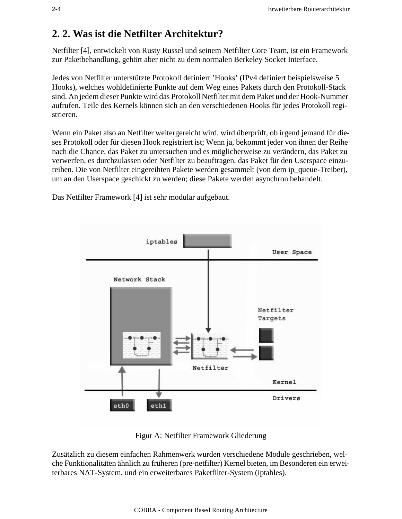## <span id="page-11-0"></span>**2. 2. Was ist die Netfilter Architektur?**

Netfilter [\[4\],](#page-54-5) entwickelt von Rusty Russel und seinem Netfilter Core Team, ist ein Framework zur Paketbehandlung, gehört aber nicht zu dem normalen Berkeley Socket Interface.

Jedes von Netfilter unterstützte Protokoll definiert 'Hooks' (IPv4 definiert beispielsweise 5 Hooks), welches wohldefinierte Punkte auf dem Weg eines Pakets durch den Protokoll-Stack sind. An jedem dieser Punkte wird das Protokoll Netfilter mit dem Paket und der Hook-Nummer aufrufen. Teile des Kernels können sich an den verschiedenen Hooks für jedes Protokoll registrieren.

Wenn ein Paket also an Netfilter weitergereicht wird, wird überprüft, ob irgend jemand für dieses Protokoll oder für diesen Hook registriert ist; Wenn ja, bekommt jeder von ihnen der Reihe nach die Chance, das Paket zu untersuchen und es möglicherweise zu verändern, das Paket zu verwerfen, es durchzulassen oder Netfilter zu beauftragen, das Paket für den Userspace einzureihen. Die von Netfilter eingereihten Pakete werden gesammelt (von dem ip\_queue-Treiber), um an den Userspace geschickt zu werden; diese Pakete werden asynchron behandelt.

Das Netfilter Framework [\[4\]](#page-54-5) ist sehr modular aufgebaut.



Figur A: Netfilter Framework Gliederung

<span id="page-11-1"></span>Zusätzlich zu diesem einfachen Rahmenwerk wurden verschiedene Module geschrieben, welche Funktionalitäten ähnlich zu früheren (pre-netfilter) Kernel bieten, im Besonderen ein erweiterbares NAT-System, und ein erweiterbares Paketfilter-System (iptables).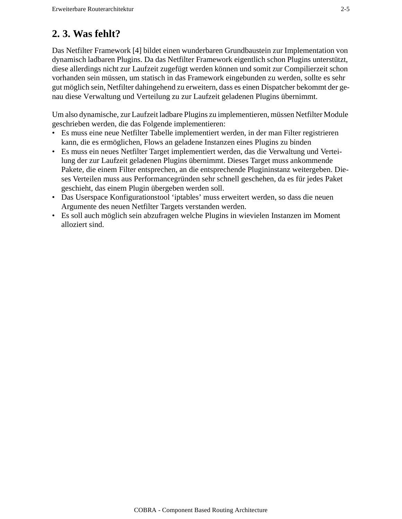# <span id="page-12-0"></span>**2. 3. Was fehlt?**

Das Netfilter Framework [\[4\]](#page-54-5) bildet einen wunderbaren Grundbaustein zur Implementation von dynamisch ladbaren Plugins. Da das Netfilter Framework eigentlich schon Plugins unterstützt, diese allerdings nicht zur Laufzeit zugefügt werden können und somit zur Compilierzeit schon vorhanden sein müssen, um statisch in das Framework eingebunden zu werden, sollte es sehr gut möglich sein, Netfilter dahingehend zu erweitern, dass es einen Dispatcher bekommt der genau diese Verwaltung und Verteilung zu zur Laufzeit geladenen Plugins übernimmt.

Um also dynamische, zur Laufzeit ladbare Plugins zu implementieren, müssen Netfilter Module geschrieben werden, die das Folgende implementieren:

- Es muss eine neue Netfilter Tabelle implementiert werden, in der man Filter registrieren kann, die es ermöglichen, Flows an geladene Instanzen eines Plugins zu binden
- Es muss ein neues Netfilter Target implementiert werden, das die Verwaltung und Verteilung der zur Laufzeit geladenen Plugins übernimmt. Dieses Target muss ankommende Pakete, die einem Filter entsprechen, an die entsprechende Plugininstanz weitergeben. Dieses Verteilen muss aus Performancegründen sehr schnell geschehen, da es für jedes Paket geschieht, das einem Plugin übergeben werden soll.
- Das Userspace Konfigurationstool 'iptables' muss erweitert werden, so dass die neuen Argumente des neuen Netfilter Targets verstanden werden.
- Es soll auch möglich sein abzufragen welche Plugins in wievielen Instanzen im Moment alloziert sind.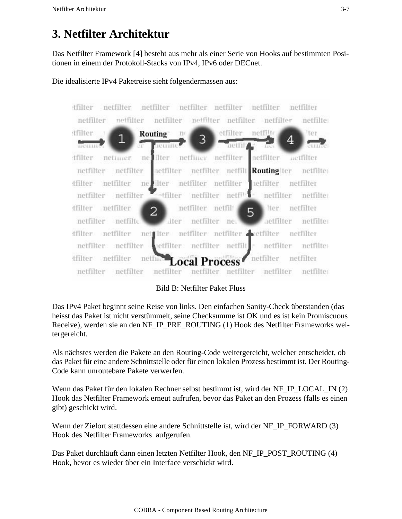# <span id="page-14-0"></span>**3. Netfilter Architektur**

Das Netfilter Framework [\[4\]](#page-54-5) besteht aus mehr als einer Serie von Hooks auf bestimmten Positionen in einem der Protokoll-Stacks von IPv4, IPv6 oder DECnet.

Die idealisierte IPv4 Paketreise sieht folgendermassen aus:



Bild B: Netfilter Paket Fluss

<span id="page-14-1"></span>Das IPv4 Paket beginnt seine Reise von links. Den einfachen Sanity-Check überstanden (das heisst das Paket ist nicht verstümmelt, seine Checksumme ist OK und es ist kein Promiscuous Receive), werden sie an den NF\_IP\_PRE\_ROUTING (1) Hook des Netfilter Frameworks weitergereicht.

Als nächstes werden die Pakete an den Routing-Code weitergereicht, welcher entscheidet, ob das Paket für eine andere Schnittstelle oder für einen lokalen Prozess bestimmt ist. Der Routing-Code kann unroutebare Pakete verwerfen.

Wenn das Paket für den lokalen Rechner selbst bestimmt ist, wird der NF\_IP\_LOCAL\_IN (2) Hook das Netfilter Framework erneut aufrufen, bevor das Paket an den Prozess (falls es einen gibt) geschickt wird.

Wenn der Zielort stattdessen eine andere Schnittstelle ist, wird der NF\_IP\_FORWARD (3) Hook des Netfilter Frameworks aufgerufen.

Das Paket durchläuft dann einen letzten Netfilter Hook, den NF\_IP\_POST\_ROUTING (4) Hook, bevor es wieder über ein Interface verschickt wird.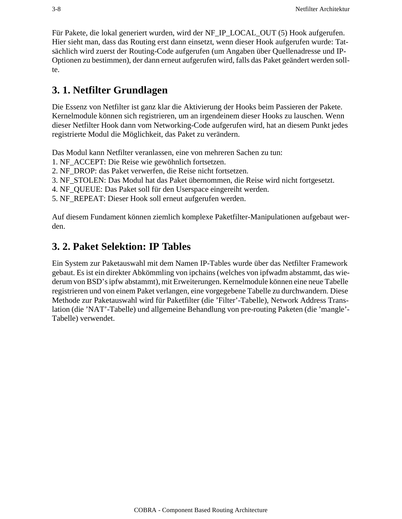Für Pakete, die lokal generiert wurden, wird der NF\_IP\_LOCAL\_OUT (5) Hook aufgerufen. Hier sieht man, dass das Routing erst dann einsetzt, wenn dieser Hook aufgerufen wurde: Tatsächlich wird zuerst der Routing-Code aufgerufen (um Angaben über Quellenadresse und IP-Optionen zu bestimmen), der dann erneut aufgerufen wird, falls das Paket geändert werden sollte.

### <span id="page-15-0"></span>**3. 1. Netfilter Grundlagen**

Die Essenz von Netfilter ist ganz klar die Aktivierung der Hooks beim Passieren der Pakete. Kernelmodule können sich registrieren, um an irgendeinem dieser Hooks zu lauschen. Wenn dieser Netfilter Hook dann vom Networking-Code aufgerufen wird, hat an diesem Punkt jedes registrierte Modul die Möglichkeit, das Paket zu verändern.

Das Modul kann Netfilter veranlassen, eine von mehreren Sachen zu tun:

- 1. NF\_ACCEPT: Die Reise wie gewöhnlich fortsetzen.
- 2. NF\_DROP: das Paket verwerfen, die Reise nicht fortsetzen.
- 3. NF\_STOLEN: Das Modul hat das Paket übernommen, die Reise wird nicht fortgesetzt.
- 4. NF\_QUEUE: Das Paket soll für den Userspace eingereiht werden.
- 5. NF\_REPEAT: Dieser Hook soll erneut aufgerufen werden.

Auf diesem Fundament können ziemlich komplexe Paketfilter-Manipulationen aufgebaut werden.

#### <span id="page-15-1"></span>**3. 2. Paket Selektion: IP Tables**

Ein System zur Paketauswahl mit dem Namen IP-Tables wurde über das Netfilter Framework gebaut. Es ist ein direkter Abkömmling von ipchains (welches von ipfwadm abstammt, das wiederum von BSD's ipfw abstammt), mit Erweiterungen. Kernelmodule können eine neue Tabelle registrieren und von einem Paket verlangen, eine vorgegebene Tabelle zu durchwandern. Diese Methode zur Paketauswahl wird für Paketfilter (die 'Filter'-Tabelle), Network Address Translation (die 'NAT'-Tabelle) und allgemeine Behandlung von pre-routing Paketen (die 'mangle'- Tabelle) verwendet.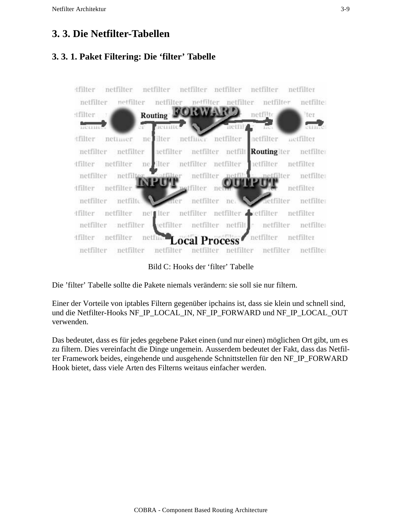## <span id="page-16-0"></span>**3. 3. Die Netfilter-Tabellen**

### <span id="page-16-1"></span>**3. 3. 1. Paket Filtering: Die 'filter' Tabelle**

tfilter netfilter netfilter netfilter netfilter netfilter netfilter netfilter netfilter netfilter netfilter netfilter netfilte netfilter netfilto tfilter Routing ter **TCULU** dfilter netfiner netfilter netfilter netfilter netturer ne ilter netfilter netfilt netfilter netfilter **Routing** ler netfilter aetfilter tfilter netfilter ne ilter netfilter netfilter tetfilter netfilter netfilter ter netfilter netfilte tfilter netfilter netfilter ne netfilter netfilte netfilter ne lter netfilter tfilter netfilter net **Ifer** netfilter netfilter etfilter netfilter netfilter netfilter netfilter netfili netfilter netfilte: tfilter netfilter neti netfilter netfilter netfilter netfilter netfilter netfilter netfilter netfilter

Bild C: Hooks der 'filter' Tabelle

<span id="page-16-2"></span>Die 'filter' Tabelle sollte die Pakete niemals verändern: sie soll sie nur filtern.

Einer der Vorteile von iptables Filtern gegenüber ipchains ist, dass sie klein und schnell sind, und die Netfilter-Hooks NF\_IP\_LOCAL\_IN, NF\_IP\_FORWARD und NF\_IP\_LOCAL\_OUT verwenden.

Das bedeutet, dass es für jedes gegebene Paket einen (und nur einen) möglichen Ort gibt, um es zu filtern. Dies vereinfacht die Dinge ungemein. Ausserdem bedeutet der Fakt, dass das Netfilter Framework beides, eingehende und ausgehende Schnittstellen für den NF\_IP\_FORWARD Hook bietet, dass viele Arten des Filterns weitaus einfacher werden.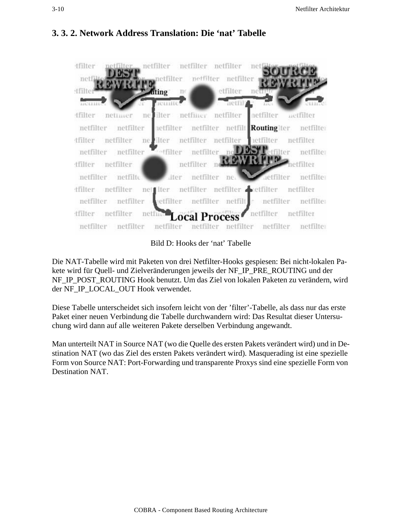3-10 Netfilter Architektur

#### <span id="page-17-0"></span>**3. 3. 2. Network Address Translation: Die 'nat' Tabelle**



Bild D: Hooks der 'nat' Tabelle

<span id="page-17-1"></span>Die NAT-Tabelle wird mit Paketen von drei Netfilter-Hooks gespiesen: Bei nicht-lokalen Pakete wird für Quell- und Zielveränderungen jeweils der NF\_IP\_PRE\_ROUTING und der NF\_IP\_POST\_ROUTING Hook benutzt. Um das Ziel von lokalen Paketen zu verändern, wird der NF\_IP\_LOCAL\_OUT Hook verwendet.

Diese Tabelle unterscheidet sich insofern leicht von der 'filter'-Tabelle, als dass nur das erste Paket einer neuen Verbindung die Tabelle durchwandern wird: Das Resultat dieser Untersuchung wird dann auf alle weiteren Pakete derselben Verbindung angewandt.

Man unterteilt NAT in Source NAT (wo die Quelle des ersten Pakets verändert wird) und in Destination NAT (wo das Ziel des ersten Pakets verändert wird). Masquerading ist eine spezielle Form von Source NAT: Port-Forwarding und transparente Proxys sind eine spezielle Form von Destination NAT.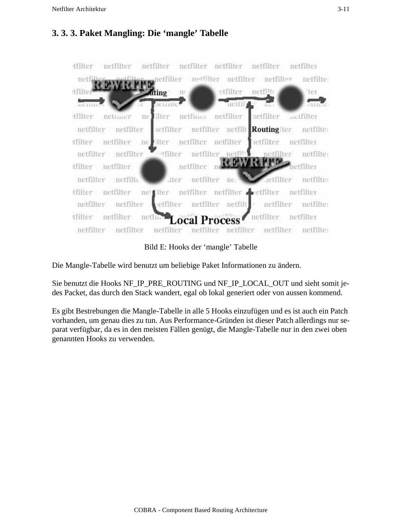### <span id="page-18-0"></span>**3. 3. 3. Paket Mangling: Die 'mangle' Tabelle**

|       |                     |        |    |                         | tfilter netfilter netfilter netfilter netfilter netfilter netfilter   |      |
|-------|---------------------|--------|----|-------------------------|-----------------------------------------------------------------------|------|
| netti |                     |        |    |                         | REVIEW netfilter netfilter netfilter netfilter netfilter              |      |
|       |                     | diting | mo | etfilter netfilte       |                                                                       | ter. |
| пени  |                     | demire |    | <b>Commettill's and</b> |                                                                       |      |
|       |                     |        |    |                         | tfilter netnner ne liter netfiner netfilter netfilter netfilter       |      |
|       |                     |        |    |                         | netfilter netfilter netfilter netfilter netfilt Routingiter netfilter |      |
|       |                     |        |    |                         | tfilter netfilter ne liter netfilter netfilter netfilter netfilter    |      |
|       |                     |        |    |                         | netfilter netfilter offilter netfilter netfilter netfilter netfilter  |      |
|       | tfilter netfilter a |        |    |                         | $\blacksquare$ netfilter $\blacksquare$ REV RITP netfilter            |      |
|       |                     |        |    |                         | netfilter netfilte at dier netfilter ne detfilter netfilter           |      |
|       |                     |        |    |                         | tfilter netfilter net lter netfilter netfilter etfilter netfilter     |      |
|       |                     |        |    |                         | netfilter netfilter petfilter netfilter netfilt                       |      |
|       |                     |        |    |                         | tfilter netfilter netfilter <b>Local Process</b> netfilter netfilter  |      |
|       |                     |        |    |                         | netfilter netfilter netfilter netfilter netfilter netfilter netfilter |      |

Bild E: Hooks der 'mangle' Tabelle

<span id="page-18-1"></span>Die Mangle-Tabelle wird benutzt um beliebige Paket Informationen zu ändern.

Sie benutzt die Hooks NF\_IP\_PRE\_ROUTING und NF\_IP\_LOCAL\_OUT und sieht somit jedes Packet, das durch den Stack wandert, egal ob lokal generiert oder von aussen kommend.

Es gibt Bestrebungen die Mangle-Tabelle in alle 5 Hooks einzufügen und es ist auch ein Patch vorhanden, um genau dies zu tun. Aus Performance-Gründen ist dieser Patch allerdings nur separat verfügbar, da es in den meisten Fällen genügt, die Mangle-Tabelle nur in den zwei oben genannten Hooks zu verwenden.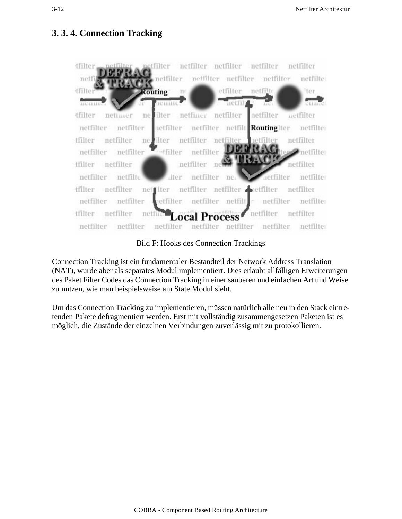3-12 Netfilter Architektur

#### <span id="page-19-0"></span>**3. 3. 4. Connection Tracking**

| netfilter netfilter netfilter netfilter netfilter netfilter<br>tfilter.                                                  |             |              |                         |               |
|--------------------------------------------------------------------------------------------------------------------------|-------------|--------------|-------------------------|---------------|
| <b>BEACK</b> netfilter netfilter netfilter netfilter netfilter<br>netfi                                                  |             |              |                         |               |
| tfilter                                                                                                                  | Routing III |              | etfilter netfilte       | ter           |
| mermit                                                                                                                   | aemite.     |              | <b>Commettill's and</b> | <b>PERICE</b> |
| tfilter netmer nelliter netfiner netfilter netfilter netfilter                                                           |             |              |                         |               |
| netfilter netfilter netfilter netfilter netfilt Routing ter netfilte                                                     |             |              |                         |               |
| tfilter netfilter ne liter netfilter netfilter netfilter netfilter<br>netfilter netfilter offilter netfilter <b>DBPR</b> |             |              |                         | ten netfilte  |
| tfilter netfilter                                                                                                        |             | netfilter ne |                         | netfilter     |
| netfilter netfilte at liter netfilter ne. aetfilter netfilter                                                            |             |              |                         |               |
| tfilter netfilter net lter netfilter netfilter etfilter netfilter                                                        |             |              |                         |               |
| netfilter netfilter netfilter netfilter netfilt netfilter netfilter                                                      |             |              |                         |               |
| tfilter netfilter netfilter Local Process netfilter netfilter                                                            |             |              |                         |               |
| netfilter netfilter netfilter netfilter netfilter netfilter netfilter                                                    |             |              |                         |               |

Bild F: Hooks des Connection Trackings

<span id="page-19-1"></span>Connection Tracking ist ein fundamentaler Bestandteil der Network Address Translation (NAT), wurde aber als separates Modul implementiert. Dies erlaubt allfälligen Erweiterungen des Paket Filter Codes das Connection Tracking in einer sauberen und einfachen Art und Weise zu nutzen, wie man beispielsweise am State Modul sieht.

Um das Connection Tracking zu implementieren, müssen natürlich alle neu in den Stack eintretenden Pakete defragmentiert werden. Erst mit vollständig zusammengesetzen Paketen ist es möglich, die Zustände der einzelnen Verbindungen zuverlässig mit zu protokollieren.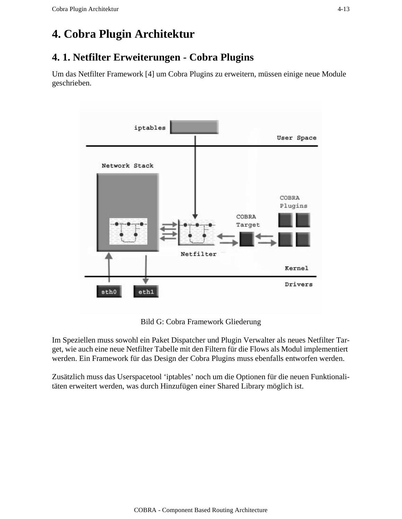# <span id="page-20-0"></span>**4. Cobra Plugin Architektur**

### <span id="page-20-1"></span>**4. 1. Netfilter Erweiterungen - Cobra Plugins**

Um das Netfilter Framework [\[4\]](#page-54-5) um Cobra Plugins zu erweitern, müssen einige neue Module geschrieben.



Bild G: Cobra Framework Gliederung

<span id="page-20-2"></span>Im Speziellen muss sowohl ein Paket Dispatcher und Plugin Verwalter als neues Netfilter Target, wie auch eine neue Netfilter Tabelle mit den Filtern für die Flows als Modul implementiert werden. Ein Framework für das Design der Cobra Plugins muss ebenfalls entworfen werden.

Zusätzlich muss das Userspacetool 'iptables' noch um die Optionen für die neuen Funktionalitäten erweitert werden, was durch Hinzufügen einer Shared Library möglich ist.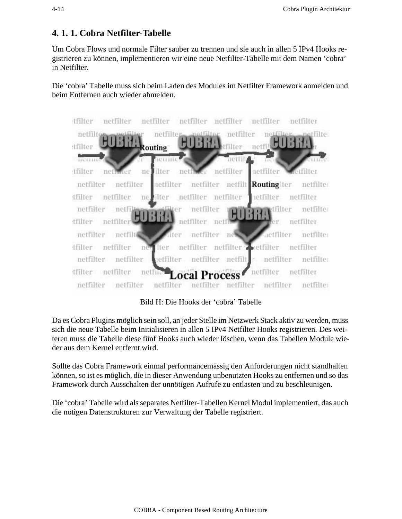#### <span id="page-21-0"></span>**4. 1. 1. Cobra Netfilter-Tabelle**

Um Cobra Flows und normale Filter sauber zu trennen und sie auch in allen 5 IPv4 Hooks registrieren zu können, implementieren wir eine neue Netfilter-Tabelle mit dem Namen 'cobra' in Netfilter.

Die 'cobra' Tabelle muss sich beim Laden des Modules im Netfilter Framework anmelden und beim Entfernen auch wieder abmelden.



Bild H: Die Hooks der 'cobra' Tabelle

<span id="page-21-1"></span>Da es Cobra Plugins möglich sein soll, an jeder Stelle im Netzwerk Stack aktiv zu werden, muss sich die neue Tabelle beim Initialisieren in allen 5 IPv4 Netfilter Hooks registrieren. Des weiteren muss die Tabelle diese fünf Hooks auch wieder löschen, wenn das Tabellen Module wieder aus dem Kernel entfernt wird.

Sollte das Cobra Framework einmal performancemässig den Anforderungen nicht standhalten können, so ist es möglich, die in dieser Anwendung unbenutzten Hooks zu entfernen und so das Framework durch Ausschalten der unnötigen Aufrufe zu entlasten und zu beschleunigen.

Die 'cobra' Tabelle wird als separates Netfilter-Tabellen Kernel Modul implementiert, das auch die nötigen Datenstrukturen zur Verwaltung der Tabelle registriert.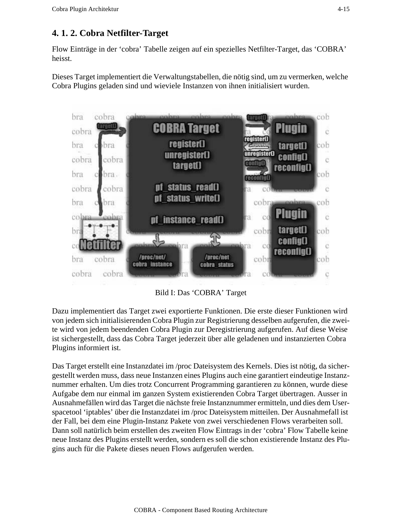### <span id="page-22-0"></span>**4. 1. 2. Cobra Netfilter-Target**

Flow Einträge in der 'cobra' Tabelle zeigen auf ein spezielles Netfilter-Target, das 'COBRA' heisst.

Dieses Target implementiert die Verwaltungstabellen, die nötig sind, um zu vermerken, welche Cobra Plugins geladen sind und wieviele Instanzen von ihnen initialisiert wurden.



Bild I: Das 'COBRA' Target

<span id="page-22-1"></span>Dazu implementiert das Target zwei exportierte Funktionen. Die erste dieser Funktionen wird von jedem sich initialisierenden Cobra Plugin zur Registrierung desselben aufgerufen, die zweite wird von jedem beendenden Cobra Plugin zur Deregistrierung aufgerufen. Auf diese Weise ist sichergestellt, dass das Cobra Target jederzeit über alle geladenen und instanzierten Cobra Plugins informiert ist.

Das Target erstellt eine Instanzdatei im /proc Dateisystem des Kernels. Dies ist nötig, da sichergestellt werden muss, dass neue Instanzen eines Plugins auch eine garantiert eindeutige Instanznummer erhalten. Um dies trotz Concurrent Programming garantieren zu können, wurde diese Aufgabe dem nur einmal im ganzen System existierenden Cobra Target übertragen. Ausser in Ausnahmefällen wird das Target die nächste freie Instanznummer ermitteln, und dies dem Userspacetool 'iptables' über die Instanzdatei im /proc Dateisystem mitteilen. Der Ausnahmefall ist der Fall, bei dem eine Plugin-Instanz Pakete von zwei verschiedenen Flows verarbeiten soll. Dann soll natürlich beim erstellen des zweiten Flow Eintrags in der 'cobra' Flow Tabelle keine neue Instanz des Plugins erstellt werden, sondern es soll die schon existierende Instanz des Plugins auch für die Pakete dieses neuen Flows aufgerufen werden.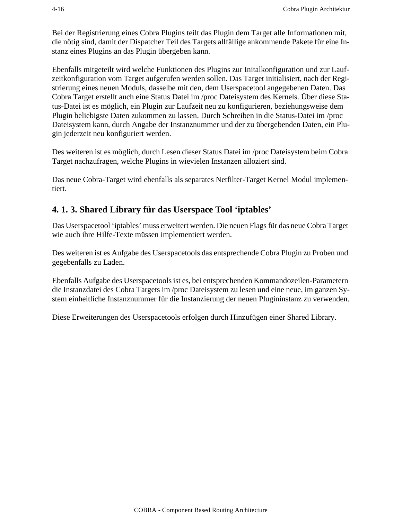Bei der Registrierung eines Cobra Plugins teilt das Plugin dem Target alle Informationen mit, die nötig sind, damit der Dispatcher Teil des Targets allfällige ankommende Pakete für eine Instanz eines Plugins an das Plugin übergeben kann.

Ebenfalls mitgeteilt wird welche Funktionen des Plugins zur Initalkonfiguration und zur Laufzeitkonfiguration vom Target aufgerufen werden sollen. Das Target initialisiert, nach der Registrierung eines neuen Moduls, dasselbe mit den, dem Userspacetool angegebenen Daten. Das Cobra Target erstellt auch eine Status Datei im /proc Dateisystem des Kernels. Über diese Status-Datei ist es möglich, ein Plugin zur Laufzeit neu zu konfigurieren, beziehungsweise dem Plugin beliebigste Daten zukommen zu lassen. Durch Schreiben in die Status-Datei im /proc Dateisystem kann, durch Angabe der Instanznummer und der zu übergebenden Daten, ein Plugin jederzeit neu konfiguriert werden.

Des weiteren ist es möglich, durch Lesen dieser Status Datei im /proc Dateisystem beim Cobra Target nachzufragen, welche Plugins in wievielen Instanzen alloziert sind.

Das neue Cobra-Target wird ebenfalls als separates Netfilter-Target Kernel Modul implementiert.

#### <span id="page-23-0"></span>**4. 1. 3. Shared Library für das Userspace Tool 'iptables'**

Das Userspacetool 'iptables' muss erweitert werden. Die neuen Flags für das neue Cobra Target wie auch ihre Hilfe-Texte müssen implementiert werden.

Des weiteren ist es Aufgabe des Userspacetools das entsprechende Cobra Plugin zu Proben und gegebenfalls zu Laden.

Ebenfalls Aufgabe des Userspacetools ist es, bei entsprechenden Kommandozeilen-Parametern die Instanzdatei des Cobra Targets im /proc Dateisystem zu lesen und eine neue, im ganzen System einheitliche Instanznummer für die Instanzierung der neuen Plugininstanz zu verwenden.

Diese Erweiterungen des Userspacetools erfolgen durch Hinzufügen einer Shared Library.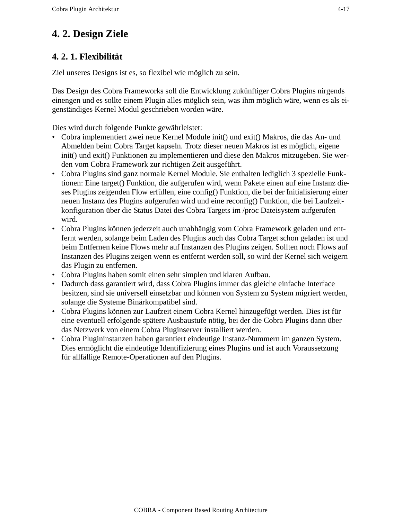# <span id="page-24-0"></span>**4. 2. Design Ziele**

### <span id="page-24-1"></span>**4. 2. 1. Flexibilität**

Ziel unseres Designs ist es, so flexibel wie möglich zu sein.

Das Design des Cobra Frameworks soll die Entwicklung zukünftiger Cobra Plugins nirgends einengen und es sollte einem Plugin alles möglich sein, was ihm möglich wäre, wenn es als eigenständiges Kernel Modul geschrieben worden wäre.

Dies wird durch folgende Punkte gewährleistet:

- Cobra implementiert zwei neue Kernel Module init() und exit() Makros, die das An- und Abmelden beim Cobra Target kapseln. Trotz dieser neuen Makros ist es möglich, eigene init() und exit() Funktionen zu implementieren und diese den Makros mitzugeben. Sie werden vom Cobra Framework zur richtigen Zeit ausgeführt.
- Cobra Plugins sind ganz normale Kernel Module. Sie enthalten lediglich 3 spezielle Funktionen: Eine target() Funktion, die aufgerufen wird, wenn Pakete einen auf eine Instanz dieses Plugins zeigenden Flow erfüllen, eine config() Funktion, die bei der Initialisierung einer neuen Instanz des Plugins aufgerufen wird und eine reconfig() Funktion, die bei Laufzeitkonfiguration über die Status Datei des Cobra Targets im /proc Dateisystem aufgerufen wird.
- Cobra Plugins können jederzeit auch unabhängig vom Cobra Framework geladen und entfernt werden, solange beim Laden des Plugins auch das Cobra Target schon geladen ist und beim Entfernen keine Flows mehr auf Instanzen des Plugins zeigen. Sollten noch Flows auf Instanzen des Plugins zeigen wenn es entfernt werden soll, so wird der Kernel sich weigern das Plugin zu entfernen.
- Cobra Plugins haben somit einen sehr simplen und klaren Aufbau.
- Dadurch dass garantiert wird, dass Cobra Plugins immer das gleiche einfache Interface besitzen, sind sie universell einsetzbar und können von System zu System migriert werden, solange die Systeme Binärkompatibel sind.
- Cobra Plugins können zur Laufzeit einem Cobra Kernel hinzugefügt werden. Dies ist für eine eventuell erfolgende spätere Ausbaustufe nötig, bei der die Cobra Plugins dann über das Netzwerk von einem Cobra Pluginserver installiert werden.
- Cobra Plugininstanzen haben garantiert eindeutige Instanz-Nummern im ganzen System. Dies ermöglicht die eindeutige Identifizierung eines Plugins und ist auch Voraussetzung für allfällige Remote-Operationen auf den Plugins.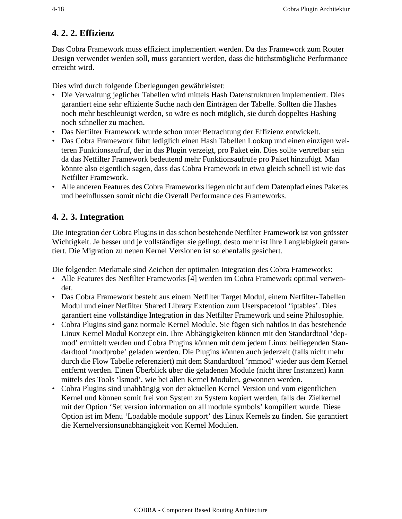### <span id="page-25-0"></span>**4. 2. 2. Effizienz**

Das Cobra Framework muss effizient implementiert werden. Da das Framework zum Router Design verwendet werden soll, muss garantiert werden, dass die höchstmögliche Performance erreicht wird.

Dies wird durch folgende Überlegungen gewährleistet:

- Die Verwaltung jeglicher Tabellen wird mittels Hash Datenstrukturen implementiert. Dies garantiert eine sehr effiziente Suche nach den Einträgen der Tabelle. Sollten die Hashes noch mehr beschleunigt werden, so wäre es noch möglich, sie durch doppeltes Hashing noch schneller zu machen.
- Das Netfilter Framework wurde schon unter Betrachtung der Effizienz entwickelt.
- Das Cobra Framework führt lediglich einen Hash Tabellen Lookup und einen einzigen weiteren Funktionsaufruf, der in das Plugin verzeigt, pro Paket ein. Dies sollte vertretbar sein da das Netfilter Framework bedeutend mehr Funktionsaufrufe pro Paket hinzufügt. Man könnte also eigentlich sagen, dass das Cobra Framework in etwa gleich schnell ist wie das Netfilter Framework.
- Alle anderen Features des Cobra Frameworks liegen nicht auf dem Datenpfad eines Paketes und beeinflussen somit nicht die Overall Performance des Frameworks.

### <span id="page-25-1"></span>**4. 2. 3. Integration**

Die Integration der Cobra Plugins in das schon bestehende Netfilter Framework ist von grösster Wichtigkeit. Je besser und je vollständiger sie gelingt, desto mehr ist ihre Langlebigkeit garantiert. Die Migration zu neuen Kernel Versionen ist so ebenfalls gesichert.

Die folgenden Merkmale sind Zeichen der optimalen Integration des Cobra Frameworks:

- Alle Features des Netfilter Frameworks [\[4\]](#page-54-5) werden im Cobra Framework optimal verwendet.
- Das Cobra Framework besteht aus einem Netfilter Target Modul, einem Netfilter-Tabellen Modul und einer Netfilter Shared Library Extention zum Userspacetool 'iptables'. Dies garantiert eine vollständige Integration in das Netfilter Framework und seine Philosophie.
- Cobra Plugins sind ganz normale Kernel Module. Sie fügen sich nahtlos in das bestehende Linux Kernel Modul Konzept ein. Ihre Abhängigkeiten können mit den Standardtool 'depmod' ermittelt werden und Cobra Plugins können mit dem jedem Linux beiliegenden Standardtool 'modprobe' geladen werden. Die Plugins können auch jederzeit (falls nicht mehr durch die Flow Tabelle referenziert) mit dem Standardtool 'rmmod' wieder aus dem Kernel entfernt werden. Einen Überblick über die geladenen Module (nicht ihrer Instanzen) kann mittels des Tools 'lsmod', wie bei allen Kernel Modulen, gewonnen werden.
- Cobra Plugins sind unabhängig von der aktuellen Kernel Version und vom eigentlichen Kernel und können somit frei von System zu System kopiert werden, falls der Zielkernel mit der Option 'Set version information on all module symbols' kompiliert wurde. Diese Option ist im Menu 'Loadable module support' des Linux Kernels zu finden. Sie garantiert die Kernelversionsunabhängigkeit von Kernel Modulen.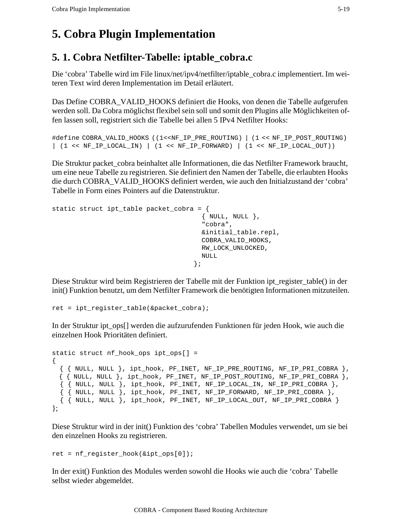# <span id="page-26-0"></span>**5. Cobra Plugin Implementation**

## <span id="page-26-1"></span>**5. 1. Cobra Netfilter-Tabelle: iptable\_cobra.c**

Die 'cobra' Tabelle wird im File linux/net/ipv4/netfilter/iptable\_cobra.c implementiert. Im weiteren Text wird deren Implementation im Detail erläutert.

Das Define COBRA\_VALID\_HOOKS definiert die Hooks, von denen die Tabelle aufgerufen werden soll. Da Cobra möglichst flexibel sein soll und somit den Plugins alle Möglichkeiten offen lassen soll, registriert sich die Tabelle bei allen 5 IPv4 Netfilter Hooks:

```
#define COBRA_VALID_HOOKS ((1<<NF_IP_PRE_ROUTING) | (1 << NF_IP_POST_ROUTING) 
| (1 << NF_IP_LOCAL_IN) | (1 << NF_IP_FORWARD) | (1 << NF_IP_LOCAL_OUT))
```
Die Struktur packet cobra beinhaltet alle Informationen, die das Netfilter Framework braucht, um eine neue Tabelle zu registrieren. Sie definiert den Namen der Tabelle, die erlaubten Hooks die durch COBRA\_VALID\_HOOKS definiert werden, wie auch den Initialzustand der 'cobra' Tabelle in Form eines Pointers auf die Datenstruktur.

```
static struct ipt_table packet_cobra = { 
                            { NULL, NULL }, 
                            "cobra", 
                            &initial_table.repl,
                            COBRA_VALID_HOOKS, 
                            RW_LOCK_UNLOCKED, 
 NULL 
\} ;
```
Diese Struktur wird beim Registrieren der Tabelle mit der Funktion ipt\_register\_table() in der init() Funktion benutzt, um dem Netfilter Framework die benötigten Informationen mitzuteilen.

```
ret = ipt register table(&packet cobra);
```
In der Struktur ipt\_ops[] werden die aufzurufenden Funktionen für jeden Hook, wie auch die einzelnen Hook Prioritäten definiert.

```
static struct nf hook ops ipt ops[] =
{ 
  { { NULL, NULL }, ipt hook, PF_INET, NF_IP_PRE_ROUTING, NF_IP_PRI_COBRA },
   { { NULL, NULL }, ipt_hook, PF_INET, NF_IP_POST_ROUTING, NF_IP_PRI_COBRA },
   { { NULL, NULL }, ipt_hook, PF_INET, NF_IP_LOCAL_IN, NF_IP_PRI_COBRA },
   { { NULL, NULL }, ipt_hook, PF_INET, NF_IP_FORWARD, NF_IP_PRI_COBRA },
   { { NULL, NULL }, ipt_hook, PF_INET, NF_IP_LOCAL_OUT, NF_IP_PRI_COBRA }
};
```
Diese Struktur wird in der init() Funktion des 'cobra' Tabellen Modules verwendet, um sie bei den einzelnen Hooks zu registrieren.

ret = nf\_register\_hook(&ipt\_ops[0]);

In der exit() Funktion des Modules werden sowohl die Hooks wie auch die 'cobra' Tabelle selbst wieder abgemeldet.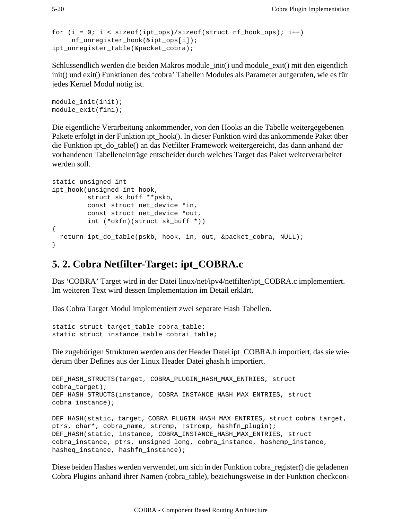```
for (i = 0; i < s \text{ized}(ipt\_ops) / s \text{ized}(struct nf\_hook); i++) nf_unregister_hook(&ipt_ops[i]);
ipt_unregister_table(&packet_cobra);
```
Schlussendlich werden die beiden Makros module\_init() und module\_exit() mit den eigentlich init() und exit() Funktionen des 'cobra' Tabellen Modules als Parameter aufgerufen, wie es für jedes Kernel Modul nötig ist.

```
module_init(init);
module_exit(fini);
```
Die eigentliche Verarbeitung ankommender, von den Hooks an die Tabelle weitergegebenen Pakete erfolgt in der Funktion ipt\_hook(). In dieser Funktion wird das ankommende Paket über die Funktion ipt\_do\_table() an das Netfilter Framework weitergereicht, das dann anhand der vorhandenen Tabelleneinträge entscheidet durch welches Target das Paket weiterverarbeitet werden soll.

```
static unsigned int
ipt_hook(unsigned int hook,
          struct sk_buff **pskb,
          const struct net_device *in,
          const struct net_device *out,
          int (*okfn)(struct sk_buff *))
{
  return ipt_do_table(pskb, hook, in, out, &packet_cobra, NULL);
}
```
### <span id="page-27-0"></span>**5. 2. Cobra Netfilter-Target: ipt\_COBRA.c**

Das 'COBRA' Target wird in der Datei linux/net/ipv4/netfilter/ipt\_COBRA.c implementiert. Im weiteren Text wird dessen Implementation im Detail erklärt.

Das Cobra Target Modul implementiert zwei separate Hash Tabellen.

```
static struct target table cobra table;
static struct instance_table cobrai_table;
```
Die zugehörigen Strukturen werden aus der Header Datei ipt\_COBRA.h importiert, das sie wiederum über Defines aus der Linux Header Datei ghash.h importiert.

```
DEF_HASH_STRUCTS(target, COBRA_PLUGIN_HASH_MAX_ENTRIES, struct 
cobra_target);
DEF_HASH_STRUCTS(instance, COBRA_INSTANCE_HASH_MAX_ENTRIES, struct 
cobra_instance);
DEF_HASH(static, target, COBRA_PLUGIN_HASH_MAX_ENTRIES, struct cobra_target, 
ptrs, char*, cobra_name, strcmp, !strcmp, hashfn_plugin);
DEF HASH(static, instance, COBRA INSTANCE HASH MAX ENTRIES, struct
cobra_instance, ptrs, unsigned long, cobra_instance, hashcmp_instance, 
hasheq instance, hashfn instance);
```
Diese beiden Hashes werden verwendet, um sich in der Funktion cobra\_register() die geladenen Cobra Plugins anhand ihrer Namen (cobra\_table), beziehungsweise in der Funktion checkcon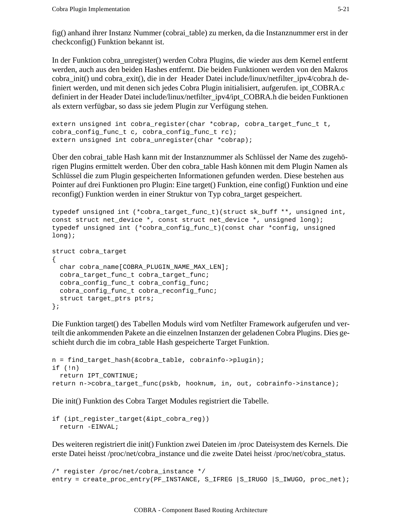fig() anhand ihrer Instanz Nummer (cobrai\_table) zu merken, da die Instanznummer erst in der checkconfig() Funktion bekannt ist.

In der Funktion cobra\_unregister() werden Cobra Plugins, die wieder aus dem Kernel entfernt werden, auch aus den beiden Hashes entfernt. Die beiden Funktionen werden von den Makros cobra\_init() und cobra\_exit(), die in der Header Datei include/linux/netfilter\_ipv4/cobra.h definiert werden, und mit denen sich jedes Cobra Plugin initialisiert, aufgerufen. ipt\_COBRA.c definiert in der Header Datei include/linux/netfilter\_ipv4/ipt\_COBRA.h die beiden Funktionen als extern verfügbar, so dass sie jedem Plugin zur Verfügung stehen.

```
extern unsigned int cobra_register(char *cobrap, cobra_target_func_t t, 
cobra_config_func_t c, cobra_config_func_t rc);
extern unsigned int cobra_unregister(char *cobrap);
```
Über den cobrai\_table Hash kann mit der Instanznummer als Schlüssel der Name des zugehörigen Plugins ermittelt werden. Über den cobra\_table Hash können mit dem Plugin Namen als Schlüssel die zum Plugin gespeicherten Informationen gefunden werden. Diese bestehen aus Pointer auf drei Funktionen pro Plugin: Eine target() Funktion, eine config() Funktion und eine reconfig() Funktion werden in einer Struktur von Typ cobra\_target gespeichert.

```
typedef unsigned int (*cobra_target_func_t)(struct sk_buff **, unsigned int, 
const struct net_device *, const struct net_device *, unsigned long);
typedef unsigned int (*cobra_config_func_t)(const char *config, unsigned 
long);
struct cobra_target
\{ char cobra_name[COBRA_PLUGIN_NAME_MAX_LEN];
  cobra_target_func_t cobra_target_func;
   cobra_config_func_t cobra_config_func;
  cobra_config_func_t cobra_reconfig_func;
   struct target_ptrs ptrs;
};
```
Die Funktion target() des Tabellen Moduls wird vom Netfilter Framework aufgerufen und verteilt die ankommenden Pakete an die einzelnen Instanzen der geladenen Cobra Plugins. Dies geschieht durch die im cobra\_table Hash gespeicherte Target Funktion.

```
n = find_target_hash(&cobra_table, cobrainfo->plugin);
if (!n)
  return IPT_CONTINUE;
return n->cobra_target_func(pskb, hooknum, in, out, cobrainfo->instance);
```
Die init() Funktion des Cobra Target Modules registriert die Tabelle.

```
if (ipt_register_target(&ipt_cobra_reg))
  return -EINVAL;
```
Des weiteren registriert die init() Funktion zwei Dateien im /proc Dateisystem des Kernels. Die erste Datei heisst /proc/net/cobra\_instance und die zweite Datei heisst /proc/net/cobra\_status.

```
/* register /proc/net/cobra_instance */
entry = create_proc_entry(PF_INSTANCE, S_IFREG |S_IRUGO |S_IWUGO, proc_net);
```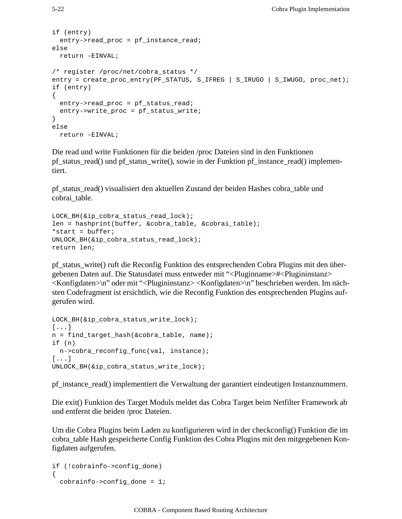```
if (entry)
  entry->read_proc = pf_instance_read; 
else
  return -EINVAL;
/* register /proc/net/cobra_status */
entry = create_proc_entry(PF_STATUS, S_IFREG | S_IRUGO | S_IWUGO, proc_net);
if (entry)
{
   entry->read_proc = pf_status_read; 
  entry->write_proc = pf_status_write; 
}
else
   return -EINVAL;
```
Die read und write Funktionen für die beiden /proc Dateien sind in den Funktionen pf\_status\_read() und pf\_status\_write(), sowie in der Funktion pf\_instance\_read() implementiert.

pf\_status\_read() visualisiert den aktuellen Zustand der beiden Hashes cobra\_table und cobrai\_table.

```
LOCK_BH(&ip_cobra_status_read_lock);
len = hashprint(buffer, &cobra_table, &cobrai_table);
*start = buffer;
UNLOCK_BH(&ip_cobra_status_read_lock);
return len;
```
pf\_status\_write() ruft die Reconfig Funktion des entsprechenden Cobra Plugins mit den übergebenen Daten auf. Die Statusdatei muss entweder mit "<Pluginname>#<Plugininstanz> <Konfigdaten>\n" oder mit "<Plugininstanz> <Konfigdaten>\n" beschrieben werden. Im nächsten Codefragment ist ersichtlich, wie die Reconfig Funktion des entsprechenden Plugins aufgerufen wird.

```
LOCK_BH(&ip_cobra_status_write_lock);
[...]
n = find_target_hash(&cobra_table, name);
if (n)
 n->cobra reconfig func(val, instance);
[\ldots]UNLOCK BH(&ip_cobra_status_write_lock);
```
pf\_instance\_read() implementiert die Verwaltung der garantiert eindeutigen Instanznummern.

Die exit() Funktion des Target Moduls meldet das Cobra Target beim Netfilter Framework ab und entfernt die beiden /proc Dateien.

Um die Cobra Plugins beim Laden zu konfigurieren wird in der checkconfig() Funktion die im cobra\_table Hash gespeicherte Config Funktion des Cobra Plugins mit den mitgegebenen Konfigdaten aufgerufen.

```
if (!cobrainfo->config_done)
{
  cobrainfo->config_done = 1;
```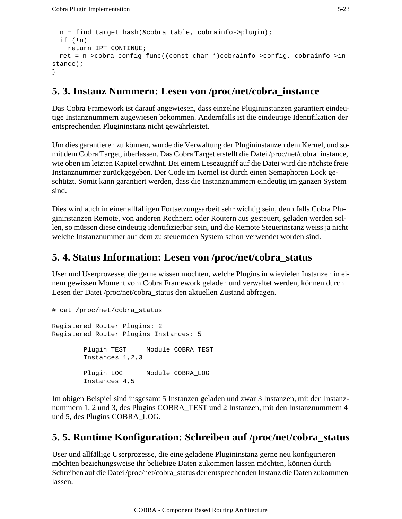```
 n = find_target_hash(&cobra_table, cobrainfo->plugin);
  if (!n)
    return IPT_CONTINUE;
  ret = n->cobra_config_func((const char *)cobrainfo->config, cobrainfo->in-
stance);
}
```
### <span id="page-30-0"></span>**5. 3. Instanz Nummern: Lesen von /proc/net/cobra\_instance**

Das Cobra Framework ist darauf angewiesen, dass einzelne Plugininstanzen garantiert eindeutige Instanznummern zugewiesen bekommen. Andernfalls ist die eindeutige Identifikation der entsprechenden Plugininstanz nicht gewährleistet.

Um dies garantieren zu können, wurde die Verwaltung der Plugininstanzen dem Kernel, und somit dem Cobra Target, überlassen. Das Cobra Target erstellt die Datei /proc/net/cobra\_instance, wie oben im letzten Kapitel erwähnt. Bei einem Lesezugriff auf die Datei wird die nächste freie Instanznummer zurückgegeben. Der Code im Kernel ist durch einen Semaphoren Lock geschützt. Somit kann garantiert werden, dass die Instanznummern eindeutig im ganzen System sind.

Dies wird auch in einer allfälligen Fortsetzungsarbeit sehr wichtig sein, denn falls Cobra Plugininstanzen Remote, von anderen Rechnern oder Routern aus gesteuert, geladen werden sollen, so müssen diese eindeutig identifizierbar sein, und die Remote Steuerinstanz weiss ja nicht welche Instanznummer auf dem zu steuernden System schon verwendet worden sind.

### <span id="page-30-1"></span>**5. 4. Status Information: Lesen von /proc/net/cobra\_status**

User und Userprozesse, die gerne wissen möchten, welche Plugins in wievielen Instanzen in einem gewissen Moment vom Cobra Framework geladen und verwaltet werden, können durch Lesen der Datei /proc/net/cobra\_status den aktuellen Zustand abfragen.

```
# cat /proc/net/cobra_status 
Registered Router Plugins: 2
Registered Router Plugins Instances: 5
        Plugin TEST Module COBRA_TEST
        Instances 1,2,3
        Plugin LOG Module COBRA_LOG
        Instances 4,5
```
Im obigen Beispiel sind insgesamt 5 Instanzen geladen und zwar 3 Instanzen, mit den Instanznummern 1, 2 und 3, des Plugins COBRA\_TEST und 2 Instanzen, mit den Instanznummern 4 und 5, des Plugins COBRA\_LOG.

### <span id="page-30-2"></span>**5. 5. Runtime Konfiguration: Schreiben auf /proc/net/cobra\_status**

User und allfällige Userprozesse, die eine geladene Plugininstanz gerne neu konfigurieren möchten beziehungsweise ihr beliebige Daten zukommen lassen möchten, können durch Schreiben auf die Datei /proc/net/cobra\_status der entsprechenden Instanz die Daten zukommen lassen.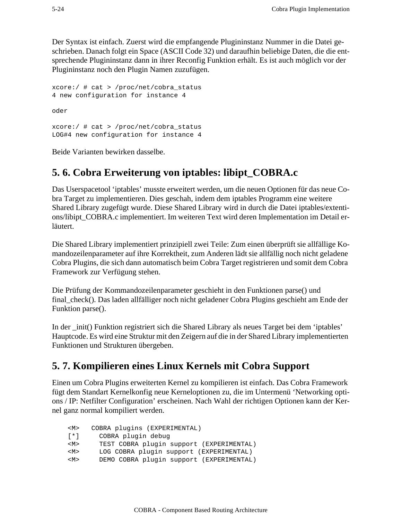Der Syntax ist einfach. Zuerst wird die empfangende Plugininstanz Nummer in die Datei geschrieben. Danach folgt ein Space (ASCII Code 32) und daraufhin beliebige Daten, die die entsprechende Plugininstanz dann in ihrer Reconfig Funktion erhält. Es ist auch möglich vor der Plugininstanz noch den Plugin Namen zuzufügen.

```
xcore:/ # cat > /proc/net/cobra_status
4 new configuration for instance 4
oder 
xcore:/ # cat > /proc/net/cobra_status
LOG#4 new configuration for instance 4
```
Beide Varianten bewirken dasselbe.

#### <span id="page-31-0"></span>**5. 6. Cobra Erweiterung von iptables: libipt\_COBRA.c**

Das Userspacetool 'iptables' musste erweitert werden, um die neuen Optionen für das neue Cobra Target zu implementieren. Dies geschah, indem dem iptables Programm eine weitere Shared Library zugefügt wurde. Diese Shared Library wird in durch die Datei iptables/extentions/libipt\_COBRA.c implementiert. Im weiteren Text wird deren Implementation im Detail erläutert.

Die Shared Library implementiert prinzipiell zwei Teile: Zum einen überprüft sie allfällige Komandozeilenparameter auf ihre Korrektheit, zum Anderen lädt sie allfällig noch nicht geladene Cobra Plugins, die sich dann automatisch beim Cobra Target registrieren und somit dem Cobra Framework zur Verfügung stehen.

Die Prüfung der Kommandozeilenparameter geschieht in den Funktionen parse() und final\_check(). Das laden allfälliger noch nicht geladener Cobra Plugins geschieht am Ende der Funktion parse().

In der \_init() Funktion registriert sich die Shared Library als neues Target bei dem 'iptables' Hauptcode. Es wird eine Struktur mit den Zeigern auf die in der Shared Library implementierten Funktionen und Strukturen übergeben.

### <span id="page-31-1"></span>**5. 7. Kompilieren eines Linux Kernels mit Cobra Support**

Einen um Cobra Plugins erweiterten Kernel zu kompilieren ist einfach. Das Cobra Framework fügt dem Standart Kernelkonfig neue Kerneloptionen zu, die im Untermenü 'Networking options / IP: Netfilter Configuration' erscheinen. Nach Wahl der richtigen Optionen kann der Kernel ganz normal kompiliert werden.

| $<\mathbb{M}>$    | COBRA plugins (EXPERIMENTAL)             |
|-------------------|------------------------------------------|
| $\lceil * \rceil$ | COBRA plugin debug                       |
| $<\mathbb{M}>$    | TEST COBRA plugin support (EXPERIMENTAL) |
| $<\mathbb{M}>$    | LOG COBRA plugin support (EXPERIMENTAL)  |
| $<$ M $>$         | DEMO COBRA plugin support (EXPERIMENTAL) |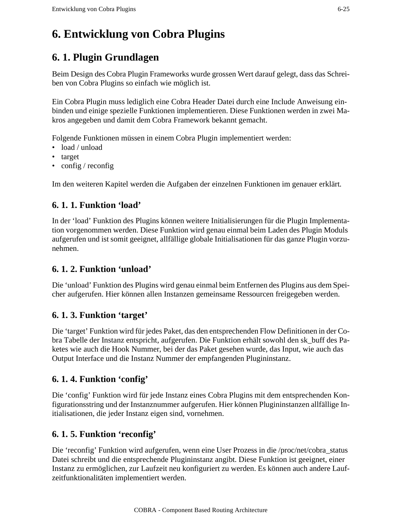# <span id="page-32-0"></span>**6. Entwicklung von Cobra Plugins**

## <span id="page-32-1"></span>**6. 1. Plugin Grundlagen**

Beim Design des Cobra Plugin Frameworks wurde grossen Wert darauf gelegt, dass das Schreiben von Cobra Plugins so einfach wie möglich ist.

Ein Cobra Plugin muss lediglich eine Cobra Header Datei durch eine Include Anweisung einbinden und einige spezielle Funktionen implementieren. Diese Funktionen werden in zwei Makros angegeben und damit dem Cobra Framework bekannt gemacht.

Folgende Funktionen müssen in einem Cobra Plugin implementiert werden:

- load / unload
- target
- config / reconfig

Im den weiteren Kapitel werden die Aufgaben der einzelnen Funktionen im genauer erklärt.

### <span id="page-32-2"></span>**6. 1. 1. Funktion 'load'**

In der 'load' Funktion des Plugins können weitere Initialisierungen für die Plugin Implementation vorgenommen werden. Diese Funktion wird genau einmal beim Laden des Plugin Moduls aufgerufen und ist somit geeignet, allfällige globale Initialisationen für das ganze Plugin vorzunehmen.

### <span id="page-32-3"></span>**6. 1. 2. Funktion 'unload'**

Die 'unload' Funktion des Plugins wird genau einmal beim Entfernen des Plugins aus dem Speicher aufgerufen. Hier können allen Instanzen gemeinsame Ressourcen freigegeben werden.

#### <span id="page-32-4"></span>**6. 1. 3. Funktion 'target'**

Die 'target' Funktion wird für jedes Paket, das den entsprechenden Flow Definitionen in der Cobra Tabelle der Instanz entspricht, aufgerufen. Die Funktion erhält sowohl den sk\_buff des Paketes wie auch die Hook Nummer, bei der das Paket gesehen wurde, das Input, wie auch das Output Interface und die Instanz Nummer der empfangenden Plugininstanz.

### <span id="page-32-5"></span>**6. 1. 4. Funktion 'config'**

Die 'config' Funktion wird für jede Instanz eines Cobra Plugins mit dem entsprechenden Konfigurationsstring und der Instanznummer aufgerufen. Hier können Plugininstanzen allfällige Initialisationen, die jeder Instanz eigen sind, vornehmen.

#### <span id="page-32-6"></span>**6. 1. 5. Funktion 'reconfig'**

Die 'reconfig' Funktion wird aufgerufen, wenn eine User Prozess in die /proc/net/cobra\_status Datei schreibt und die entsprechende Plugininstanz angibt. Diese Funktion ist geeignet, einer Instanz zu ermöglichen, zur Laufzeit neu konfiguriert zu werden. Es können auch andere Laufzeitfunktionalitäten implementiert werden.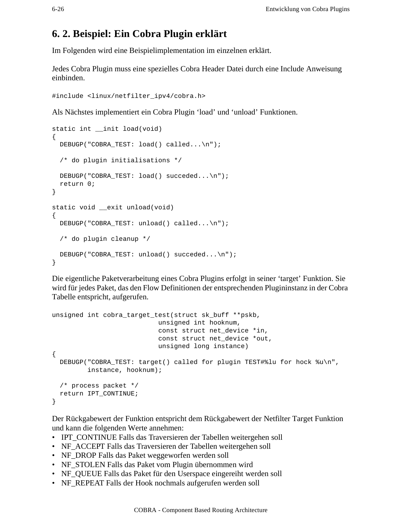### <span id="page-33-0"></span>**6. 2. Beispiel: Ein Cobra Plugin erklärt**

Im Folgenden wird eine Beispielimplementation im einzelnen erklärt.

Jedes Cobra Plugin muss eine spezielles Cobra Header Datei durch eine Include Anweisung einbinden.

```
#include <linux/netfilter_ipv4/cobra.h>
```
Als Nächstes implementiert ein Cobra Plugin 'load' und 'unload' Funktionen.

```
static int __init load(void)
{
   DEBUGP("COBRA_TEST: load() called...\n"); 
   /* do plugin initialisations */
  DEBUGP("COBRA_TEST: load() succeded...\n"); 
  return 0;
}
static void exit unload(void)
{
 DEBUGP("COBRA_TEST: unload() called...\n");
   /* do plugin cleanup */
 DEBUGP("COBRA_TEST: unload() succeded...\n");
}
```
Die eigentliche Paketverarbeitung eines Cobra Plugins erfolgt in seiner 'target' Funktion. Sie wird für jedes Paket, das den Flow Definitionen der entsprechenden Plugininstanz in der Cobra Tabelle entspricht, aufgerufen.

```
unsigned int cobra_target_test(struct sk_buff **pskb,
                            unsigned int hooknum,
                            const struct net_device *in,
                             const struct net_device *out,
                            unsigned long instance)
{
   DEBUGP("COBRA_TEST: target() called for plugin TEST#%lu for hock %u\n", 
          instance, hooknum);
  /* process packet */
  return IPT_CONTINUE;
}
```
Der Rückgabewert der Funktion entspricht dem Rückgabewert der Netfilter Target Funktion und kann die folgenden Werte annehmen:

- IPT\_CONTINUE Falls das Traversieren der Tabellen weitergehen soll
- NF\_ACCEPT Falls das Traversieren der Tabellen weitergehen soll
- NF\_DROP Falls das Paket weggeworfen werden soll
- NF\_STOLEN Falls das Paket vom Plugin übernommen wird
- NF\_QUEUE Falls das Paket für den Userspace eingereiht werden soll
- NF\_REPEAT Falls der Hook nochmals aufgerufen werden soll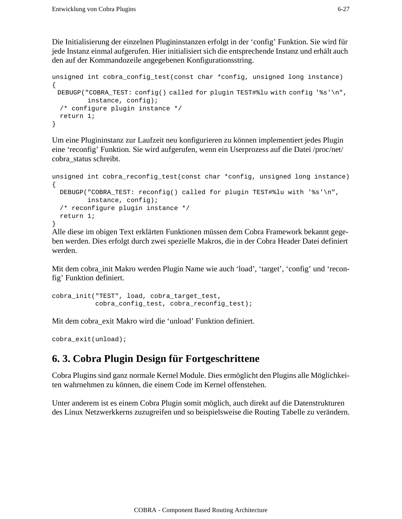Die Initialisierung der einzelnen Plugininstanzen erfolgt in der 'config' Funktion. Sie wird für jede Instanz einmal aufgerufen. Hier initialisiert sich die entsprechende Instanz und erhält auch den auf der Kommandozeile angegebenen Konfigurationsstring.

```
unsigned int cobra_config_test(const char *config, unsigned long instance)
{
  DEBUGP("COBRA_TEST: config() called for plugin TEST#%lu with config '%s'\n", 
          instance, config);
   /* configure plugin instance */
  return 1; 
}
```
Um eine Plugininstanz zur Laufzeit neu konfigurieren zu können implementiert jedes Plugin eine 'reconfig' Funktion. Sie wird aufgerufen, wenn ein Userprozess auf die Datei /proc/net/ cobra\_status schreibt.

```
unsigned int cobra_reconfig_test(const char *config, unsigned long instance)
\left\{ \right. DEBUGP("COBRA_TEST: reconfig() called for plugin TEST#%lu with '%s'\n", 
          instance, config);
   /* reconfigure plugin instance */
  return 1; 
}
```
Alle diese im obigen Text erklärten Funktionen müssen dem Cobra Framework bekannt gegeben werden. Dies erfolgt durch zwei spezielle Makros, die in der Cobra Header Datei definiert werden.

Mit dem cobra\_init Makro werden Plugin Name wie auch 'load', 'target', 'config' und 'reconfig' Funktion definiert.

```
cobra_init("TEST", load, cobra_target_test, 
           cobra config test, cobra reconfig test);
```
Mit dem cobra\_exit Makro wird die 'unload' Funktion definiert.

```
cobra_exit(unload);
```
### <span id="page-34-0"></span>**6. 3. Cobra Plugin Design für Fortgeschrittene**

Cobra Plugins sind ganz normale Kernel Module. Dies ermöglicht den Plugins alle Möglichkeiten wahrnehmen zu können, die einem Code im Kernel offenstehen.

Unter anderem ist es einem Cobra Plugin somit möglich, auch direkt auf die Datenstrukturen des Linux Netzwerkkerns zuzugreifen und so beispielsweise die Routing Tabelle zu verändern.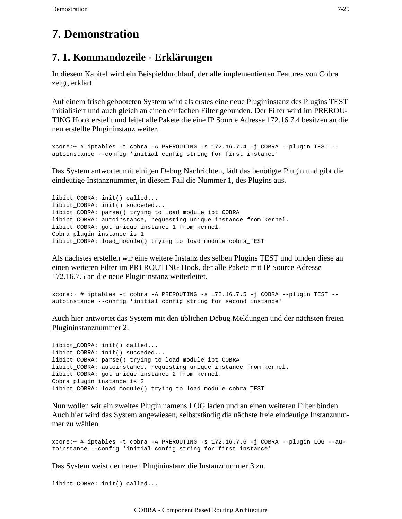# <span id="page-36-0"></span>**7. Demonstration**

### <span id="page-36-1"></span>**7. 1. Kommandozeile - Erklärungen**

In diesem Kapitel wird ein Beispieldurchlauf, der alle implementierten Features von Cobra zeigt, erklärt.

Auf einem frisch gebooteten System wird als erstes eine neue Plugininstanz des Plugins TEST initialisiert und auch gleich an einen einfachen Filter gebunden. Der Filter wird im PREROU-TING Hook erstellt und leitet alle Pakete die eine IP Source Adresse 172.16.7.4 besitzen an die neu erstellte Plugininstanz weiter.

```
xcore:~ # iptables -t cobra -A PREROUTING -s 172.16.7.4 -j COBRA --plugin TEST --
autoinstance --config 'initial config string for first instance'
```
Das System antwortet mit einigen Debug Nachrichten, lädt das benötigte Plugin und gibt die eindeutige Instanznummer, in diesem Fall die Nummer 1, des Plugins aus.

```
libipt_COBRA: init() called...
libipt_COBRA: init() succeded...
libipt_COBRA: parse() trying to load module ipt_COBRA
libipt_COBRA: autoinstance, requesting unique instance from kernel.
libipt_COBRA: got unique instance 1 from kernel.
Cobra plugin instance is 1
libipt_COBRA: load_module() trying to load module cobra_TEST
```
Als nächstes erstellen wir eine weitere Instanz des selben Plugins TEST und binden diese an einen weiteren Filter im PREROUTING Hook, der alle Pakete mit IP Source Adresse 172.16.7.5 an die neue Plugininstanz weiterleitet.

xcore:~ # iptables -t cobra -A PREROUTING -s 172.16.7.5 -j COBRA --plugin TEST - autoinstance --config 'initial config string for second instance'

Auch hier antwortet das System mit den üblichen Debug Meldungen und der nächsten freien Plugininstanznummer 2.

libipt\_COBRA: init() called... libipt\_COBRA: init() succeded... libipt\_COBRA: parse() trying to load module ipt\_COBRA libipt\_COBRA: autoinstance, requesting unique instance from kernel. libipt\_COBRA: got unique instance 2 from kernel. Cobra plugin instance is 2 libipt\_COBRA: load\_module() trying to load module cobra\_TEST

Nun wollen wir ein zweites Plugin namens LOG laden und an einen weiteren Filter binden. Auch hier wird das System angewiesen, selbstständig die nächste freie eindeutige Instanznummer zu wählen.

xcore:~ # iptables -t cobra -A PREROUTING -s 172.16.7.6 -j COBRA --plugin LOG --autoinstance --config 'initial config string for first instance'

Das System weist der neuen Plugininstanz die Instanznummer 3 zu.

libipt\_COBRA: init() called...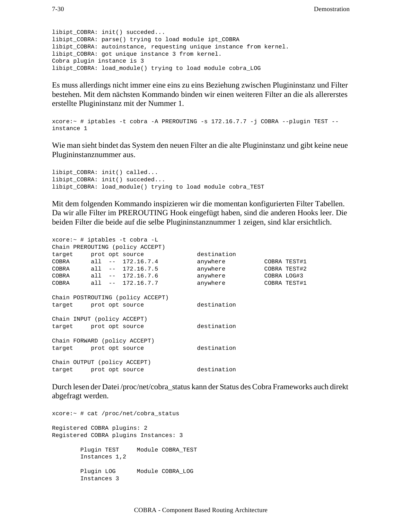```
libipt_COBRA: init() succeded...
libipt_COBRA: parse() trying to load module ipt_COBRA
libipt_COBRA: autoinstance, requesting unique instance from kernel.
libipt_COBRA: got unique instance 3 from kernel.
Cobra plugin instance is 3
libipt_COBRA: load_module() trying to load module cobra_LOG
```
Es muss allerdings nicht immer eine eins zu eins Beziehung zwischen Plugininstanz und Filter bestehen. Mit dem nächsten Kommando binden wir einen weiteren Filter an die als allererstes erstellte Plugininstanz mit der Nummer 1.

```
xcore:~ # iptables -t cobra -A PREROUTING -s 172.16.7.7 -j COBRA --plugin TEST --
instance 1
```
Wie man sieht bindet das System den neuen Filter an die alte Plugininstanz und gibt keine neue Plugininstanznummer aus.

libipt\_COBRA: init() called... libipt\_COBRA: init() succeded... libipt\_COBRA: load\_module() trying to load module cobra\_TEST

Mit dem folgenden Kommando inspizieren wir die momentan konfigurierten Filter Tabellen. Da wir alle Filter im PREROUTING Hook eingefügt haben, sind die anderen Hooks leer. Die beiden Filter die beide auf die selbe Plugininstanznummer 1 zeigen, sind klar ersichtlich.

|        | $xcore:~#$ iptables -t cobra -L   |             |              |
|--------|-----------------------------------|-------------|--------------|
|        | Chain PREROUTING (policy ACCEPT)  |             |              |
| target | prot opt source                   | destination |              |
| COBRA  | $-- 172.16.7.4$<br>all            | anywhere    | COBRA TEST#1 |
|        | COBRA all -- 172.16.7.5           | anywhere    | COBRA TEST#2 |
|        | COBRA all -- 172.16.7.6           | anywhere    | COBRA LOG#3  |
| COBRA  | all -- 172.16.7.7                 | anywhere    | COBRA TEST#1 |
|        | Chain POSTROUTING (policy ACCEPT) |             |              |
|        | target prot opt source            | destination |              |
|        | Chain INPUT (policy ACCEPT)       |             |              |
|        | target prot opt source            | destination |              |
|        | Chain FORWARD (policy ACCEPT)     |             |              |
|        | target prot opt source            | destination |              |
|        | Chain OUTPUT (policy ACCEPT)      |             |              |
|        | target prot opt source            | destination |              |

Durch lesen der Datei /proc/net/cobra\_status kann der Status des Cobra Frameworks auch direkt abgefragt werden.

```
xcore:~ # cat /proc/net/cobra_status 
Registered COBRA plugins: 2
Registered COBRA plugins Instances: 3
        Plugin TEST Module COBRA_TEST
        Instances 1,2
        Plugin LOG Module COBRA_LOG
        Instances 3
```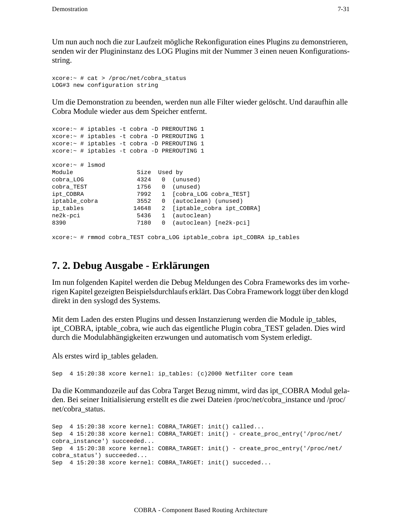Um nun auch noch die zur Laufzeit mögliche Rekonfiguration eines Plugins zu demonstrieren, senden wir der Plugininstanz des LOG Plugins mit der Nummer 3 einen neuen Konfigurationsstring.

```
xcore:~ # cat > /proc/net/cobra_status
LOG#3 new configuration string
```
Um die Demonstration zu beenden, werden nun alle Filter wieder gelöscht. Und daraufhin alle Cobra Module wieder aus dem Speicher entfernt.

```
xcore:~ # iptables -t cobra -D PREROUTING 1
xcore:~ # iptables -t cobra -D PREROUTING 1
xcore:~ # iptables -t cobra -D PREROUTING 1
xcore:~ # iptables -t cobra -D PREROUTING 1
xcore:~ # lsmod<br>Module<br>cobra LOG
Module Size Used by
cobra_LOG 4324 0 (unused)
cobra_TEST 1756 0 (unused)
ipt_COBRA 7992 1 [cobra_LOG cobra_TEST]
iptable_cobra 3552 0 (autoclean) (unused)
ip_tables 14648 2 [iptable_cobra ipt_COBRA]
ne2k-pci 5436 1 (autoclean)
8390 7180 0 (autoclean) [ne2k-pci]
```
xcore:~ # rmmod cobra\_TEST cobra\_LOG iptable\_cobra ipt\_COBRA ip\_tables

### <span id="page-38-0"></span>**7. 2. Debug Ausgabe - Erklärungen**

Im nun folgenden Kapitel werden die Debug Meldungen des Cobra Frameworks des im vorherigen Kapitel gezeigten Beispielsdurchlaufs erklärt. Das Cobra Framework loggt über den klogd direkt in den syslogd des Systems.

Mit dem Laden des ersten Plugins und dessen Instanzierung werden die Module ip tables, ipt COBRA, iptable\_cobra, wie auch das eigentliche Plugin cobra\_TEST geladen. Dies wird durch die Modulabhängigkeiten erzwungen und automatisch vom System erledigt.

Als erstes wird ip\_tables geladen.

Sep 4 15:20:38 xcore kernel: ip\_tables: (c)2000 Netfilter core team

Da die Kommandozeile auf das Cobra Target Bezug nimmt, wird das ipt\_COBRA Modul geladen. Bei seiner Initialisierung erstellt es die zwei Dateien /proc/net/cobra\_instance und /proc/ net/cobra\_status.

Sep 4 15:20:38 xcore kernel: COBRA\_TARGET: init() called... Sep 4 15:20:38 xcore kernel: COBRA\_TARGET: init() - create\_proc\_entry('/proc/net/ cobra\_instance') succeeded... Sep 4 15:20:38 xcore kernel: COBRA\_TARGET: init() - create\_proc\_entry('/proc/net/ cobra\_status') succeeded... Sep 4 15:20:38 xcore kernel: COBRA\_TARGET: init() succeded...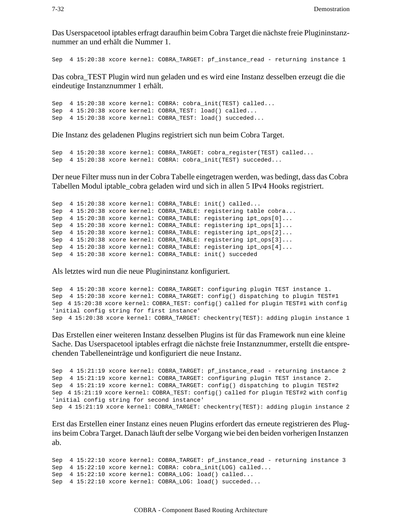Das Userspacetool iptables erfragt daraufhin beim Cobra Target die nächste freie Plugininstanznummer an und erhält die Nummer 1.

Sep 4 15:20:38 xcore kernel: COBRA\_TARGET: pf\_instance\_read - returning instance 1

Das cobra\_TEST Plugin wird nun geladen und es wird eine Instanz desselben erzeugt die die eindeutige Instanznummer 1 erhält.

Sep 4 15:20:38 xcore kernel: COBRA: cobra\_init(TEST) called... Sep 4 15:20:38 xcore kernel: COBRA\_TEST: load() called... Sep 4 15:20:38 xcore kernel: COBRA\_TEST: load() succeded...

Die Instanz des geladenen Plugins registriert sich nun beim Cobra Target.

```
Sep 4 15:20:38 xcore kernel: COBRA_TARGET: cobra_register(TEST) called...
Sep 4 15:20:38 xcore kernel: COBRA: cobra_init(TEST) succeded...
```
Der neue Filter muss nun in der Cobra Tabelle eingetragen werden, was bedingt, dass das Cobra Tabellen Modul iptable\_cobra geladen wird und sich in allen 5 IPv4 Hooks registriert.

```
Sep 4 15:20:38 xcore kernel: COBRA_TABLE: init() called...
Sep 4 15:20:38 xcore kernel: COBRA_TABLE: registering table cobra...
Sep 4 15:20:38 xcore kernel: COBRA_TABLE: registering ipt_ops[0]...
Sep 4 15:20:38 xcore kernel: COBRA_TABLE: registering ipt_ops[1]...
Sep 4 15:20:38 xcore kernel: COBRA_TABLE: registering ipt_ops[2]...
Sep 4 15:20:38 xcore kernel: COBRA_TABLE: registering ipt_ops[3]...
Sep 4 15:20:38 xcore kernel: COBRA_TABLE: registering ipt_ops[4]...
Sep 4 15:20:38 xcore kernel: COBRA_TABLE: init() succeded
```
Als letztes wird nun die neue Plugininstanz konfiguriert.

```
Sep 4 15:20:38 xcore kernel: COBRA_TARGET: configuring plugin TEST instance 1.
Sep 4 15:20:38 xcore kernel: COBRA_TARGET: config() dispatching to plugin TEST#1
Sep 4 15:20:38 xcore kernel: COBRA_TEST: config() called for plugin TEST#1 with config 
'initial config string for first instance'
Sep 4 15:20:38 xcore kernel: COBRA_TARGET: checkentry(TEST): adding plugin instance 1
```
Das Erstellen einer weiteren Instanz desselben Plugins ist für das Framework nun eine kleine Sache. Das Userspacetool iptables erfragt die nächste freie Instanznummer, erstellt die entsprechenden Tabelleneinträge und konfiguriert die neue Instanz.

```
Sep 4 15:21:19 xcore kernel: COBRA_TARGET: pf_instance_read - returning instance 2
Sep 4 15:21:19 xcore kernel: COBRA_TARGET: configuring plugin TEST instance 2.
Sep 4 15:21:19 xcore kernel: COBRA_TARGET: config() dispatching to plugin TEST#2
Sep 4 15:21:19 xcore kernel: COBRA_TEST: config() called for plugin TEST#2 with config 
'initial config string for second instance'
Sep 4 15:21:19 xcore kernel: COBRA_TARGET: checkentry(TEST): adding plugin instance 2
```
Erst das Erstellen einer Instanz eines neuen Plugins erfordert das erneute registrieren des Plugins beim Cobra Target. Danach läuft der selbe Vorgang wie bei den beiden vorherigen Instanzen ab.

Sep 4 15:22:10 xcore kernel: COBRA\_TARGET: pf\_instance\_read - returning instance 3 Sep 4 15:22:10 xcore kernel: COBRA: cobra\_init(LOG) called... Sep 4 15:22:10 xcore kernel: COBRA\_LOG: load() called... Sep 4 15:22:10 xcore kernel: COBRA\_LOG: load() succeded...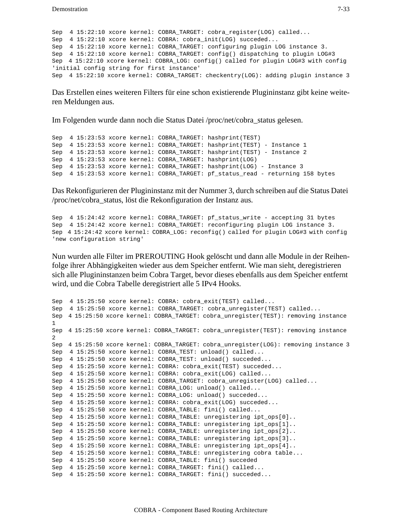```
Sep 4 15:22:10 xcore kernel: COBRA_TARGET: cobra_register(LOG) called...
Sep 4 15:22:10 xcore kernel: COBRA: cobra_init(LOG) succeded...
Sep 4 15:22:10 xcore kernel: COBRA_TARGET: configuring plugin LOG instance 3.
Sep 4 15:22:10 xcore kernel: COBRA_TARGET: config() dispatching to plugin LOG#3
Sep 4 15:22:10 xcore kernel: COBRA_LOG: config() called for plugin LOG#3 with config 
'initial config string for first instance'
Sep 4 15:22:10 xcore kernel: COBRA_TARGET: checkentry(LOG): adding plugin instance 3
```
Das Erstellen eines weiteren Filters für eine schon existierende Plugininstanz gibt keine weiteren Meldungen aus.

Im Folgenden wurde dann noch die Status Datei /proc/net/cobra\_status gelesen.

```
Sep 4 15:23:53 xcore kernel: COBRA_TARGET: hashprint(TEST)
Sep 4 15:23:53 xcore kernel: COBRA_TARGET: hashprint(TEST) - Instance 1
Sep 4 15:23:53 xcore kernel: COBRA_TARGET: hashprint(TEST) - Instance 2
Sep 4 15:23:53 xcore kernel: COBRA_TARGET: hashprint(LOG)
Sep 4 15:23:53 xcore kernel: COBRA_TARGET: hashprint(LOG) - Instance 3
Sep 4 15:23:53 xcore kernel: COBRA_TARGET: pf_status_read - returning 158 bytes
```
Das Rekonfigurieren der Plugininstanz mit der Nummer 3, durch schreiben auf die Status Datei /proc/net/cobra\_status, löst die Rekonfiguration der Instanz aus.

```
Sep 4 15:24:42 xcore kernel: COBRA_TARGET: pf_status_write - accepting 31 bytes
Sep 4 15:24:42 xcore kernel: COBRA_TARGET: reconfiguring plugin LOG instance 3.
Sep 4 15:24:42 xcore kernel: COBRA_LOG: reconfig() called for plugin LOG#3 with config 
'new configuration string'
```
Nun wurden alle Filter im PREROUTING Hook gelöscht und dann alle Module in der Reihenfolge ihrer Abhängigkeiten wieder aus dem Speicher entfernt. Wie man sieht, deregistrieren sich alle Plugininstanzen beim Cobra Target, bevor dieses ebenfalls aus dem Speicher entfernt wird, und die Cobra Tabelle deregistriert alle 5 IPv4 Hooks.

```
Sep 4 15:25:50 xcore kernel: COBRA: cobra_exit(TEST) called...
Sep 4 15:25:50 xcore kernel: COBRA_TARGET: cobra_unregister(TEST) called...
Sep 4 15:25:50 xcore kernel: COBRA_TARGET: cobra_unregister(TEST): removing instance 
1
Sep 4 15:25:50 xcore kernel: COBRA_TARGET: cobra_unregister(TEST): removing instance 
2
Sep 4 15:25:50 xcore kernel: COBRA_TARGET: cobra_unregister(LOG): removing instance 3
Sep 4 15:25:50 xcore kernel: COBRA_TEST: unload() called...
Sep 4 15:25:50 xcore kernel: COBRA_TEST: unload() succeded...
Sep 4 15:25:50 xcore kernel: COBRA: cobra_exit(TEST) succeded...
Sep 4 15:25:50 xcore kernel: COBRA: cobra_exit(LOG) called...
Sep 4 15:25:50 xcore kernel: COBRA_TARGET: cobra_unregister(LOG) called...
Sep 4 15:25:50 xcore kernel: COBRA_LOG: unload() called...
Sep 4 15:25:50 xcore kernel: COBRA_LOG: unload() succeded...
Sep 4 15:25:50 xcore kernel: COBRA: cobra_exit(LOG) succeded...
Sep 4 15:25:50 xcore kernel: COBRA_TABLE: fini() called...
Sep 4 15:25:50 xcore kernel: COBRA_TABLE: unregistering ipt_ops[0]..
Sep 4 15:25:50 xcore kernel: COBRA_TABLE: unregistering ipt_ops[1]..
Sep 4 15:25:50 xcore kernel: COBRA_TABLE: unregistering ipt_ops[2]..
Sep 4 15:25:50 xcore kernel: COBRA_TABLE: unregistering ipt_ops[3]..
Sep 4 15:25:50 xcore kernel: COBRA_TABLE: unregistering ipt_ops[4]..
Sep 4 15:25:50 xcore kernel: COBRA_TABLE: unregistering cobra table...
Sep 4 15:25:50 xcore kernel: COBRA_TABLE: fini() succeded
Sep 4 15:25:50 xcore kernel: COBRA_TARGET: fini() called...
Sep 4 15:25:50 xcore kernel: COBRA_TARGET: fini() succeded...
```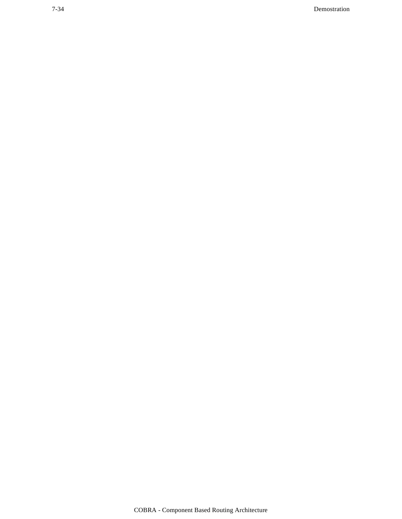7-34 Demostration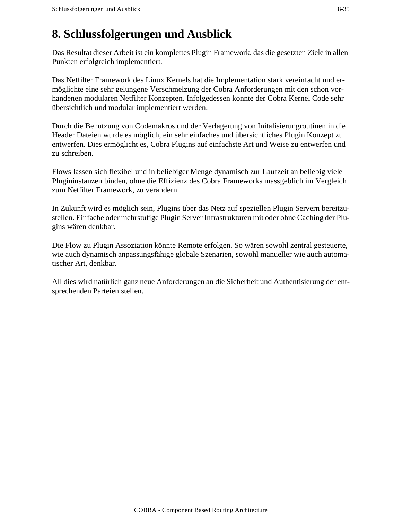# <span id="page-42-0"></span>**8. Schlussfolgerungen und Ausblick**

Das Resultat dieser Arbeit ist ein komplettes Plugin Framework, das die gesetzten Ziele in allen Punkten erfolgreich implementiert.

Das Netfilter Framework des Linux Kernels hat die Implementation stark vereinfacht und ermöglichte eine sehr gelungene Verschmelzung der Cobra Anforderungen mit den schon vorhandenen modularen Netfilter Konzepten. Infolgedessen konnte der Cobra Kernel Code sehr übersichtlich und modular implementiert werden.

Durch die Benutzung von Codemakros und der Verlagerung von Initalisierungroutinen in die Header Dateien wurde es möglich, ein sehr einfaches und übersichtliches Plugin Konzept zu entwerfen. Dies ermöglicht es, Cobra Plugins auf einfachste Art und Weise zu entwerfen und zu schreiben.

Flows lassen sich flexibel und in beliebiger Menge dynamisch zur Laufzeit an beliebig viele Plugininstanzen binden, ohne die Effizienz des Cobra Frameworks massgeblich im Vergleich zum Netfilter Framework, zu verändern.

In Zukunft wird es möglich sein, Plugins über das Netz auf speziellen Plugin Servern bereitzustellen. Einfache oder mehrstufige Plugin Server Infrastrukturen mit oder ohne Caching der Plugins wären denkbar.

Die Flow zu Plugin Assoziation könnte Remote erfolgen. So wären sowohl zentral gesteuerte, wie auch dynamisch anpassungsfähige globale Szenarien, sowohl manueller wie auch automatischer Art, denkbar.

All dies wird natürlich ganz neue Anforderungen an die Sicherheit und Authentisierung der entsprechenden Parteien stellen.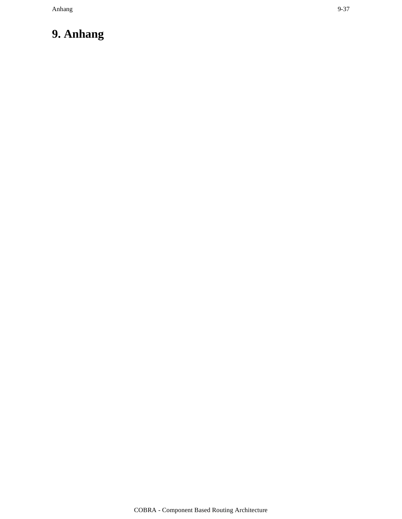# <span id="page-44-0"></span>**9. Anhang**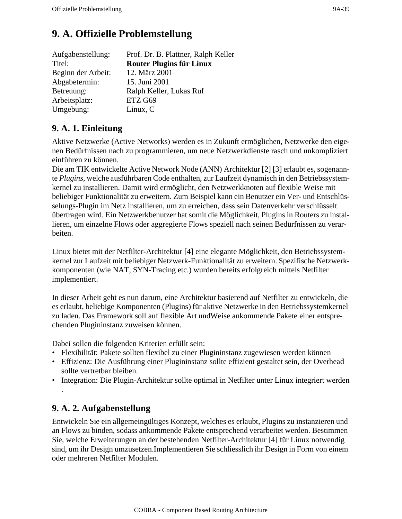<span id="page-46-0"></span>

| Aufgabenstellung:  | Prof. Dr. B. Plattner, Ralph Keller |
|--------------------|-------------------------------------|
| Titel:             | <b>Router Plugins für Linux</b>     |
| Beginn der Arbeit: | 12. März 2001                       |
| Abgabetermin:      | 15. Juni 2001                       |
| Betreuung:         | Ralph Keller, Lukas Ruf             |
| Arbeitsplatz:      | ETZ G69                             |
| Umgebung:          | Linux, C                            |

### **9. A. 1. Einleitung**

Aktive Netzwerke (Active Networks) werden es in Zukunft ermöglichen, Netzwerke den eigenen Bedürfnissen nach zu programmieren, um neue Netzwerkdienste rasch und unkompliziert einführen zu können.

Die am TIK entwickelte Active Network Node (ANN) Architektur [\[2\]](#page-54-3) [\[3\]](#page-54-4) erlaubt es, sogenannte *Plugins*, welche ausführbaren Code enthalten, zur Laufzeit dynamisch in den Betriebssystemkernel zu installieren. Damit wird ermöglicht, den Netzwerkknoten auf flexible Weise mit beliebiger Funktionalität zu erweitern. Zum Beispiel kann ein Benutzer ein Ver- und Entschlüsselungs-Plugin im Netz installieren, um zu erreichen, dass sein Datenverkehr verschlüsselt übertragen wird. Ein Netzwerkbenutzer hat somit die Möglichkeit, Plugins in Routers zu installieren, um einzelne Flows oder aggregierte Flows speziell nach seinen Bedürfnissen zu verarbeiten.

Linux bietet mit der Netfilter-Architektur [\[4\]](#page-54-5) eine elegante Möglichkeit, den Betriebssystemkernel zur Laufzeit mit beliebiger Netzwerk-Funktionalität zu erweitern. Spezifische Netzwerkkomponenten (wie NAT, SYN-Tracing etc.) wurden bereits erfolgreich mittels Netfilter implementiert.

In dieser Arbeit geht es nun darum, eine Architektur basierend auf Netfilter zu entwickeln, die es erlaubt, beliebige Komponenten (Plugins) für aktive Netzwerke in den Betriebssystemkernel zu laden. Das Framework soll auf flexible Art undWeise ankommende Pakete einer entsprechenden Plugininstanz zuweisen können.

Dabei sollen die folgenden Kriterien erfüllt sein:

- Flexibilität: Pakete sollten flexibel zu einer Plugininstanz zugewiesen werden können
- Effizienz: Die Ausführung einer Plugininstanz sollte effizient gestaltet sein, der Overhead sollte vertretbar bleiben.
- Integration: Die Plugin-Architektur sollte optimal in Netfilter unter Linux integriert werden

### **9. A. 2. Aufgabenstellung**

.

Entwickeln Sie ein allgemeingültiges Konzept, welches es erlaubt, Plugins zu instanzieren und an Flows zu binden, sodass ankommende Pakete entsprechend verarbeitet werden. Bestimmen Sie, welche Erweiterungen an der bestehenden Netfilter-Architektur [\[4\]](#page-54-5) für Linux notwendig sind, um ihr Design umzusetzen.Implementieren Sie schliesslich ihr Design in Form von einem oder mehreren Netfilter Modulen.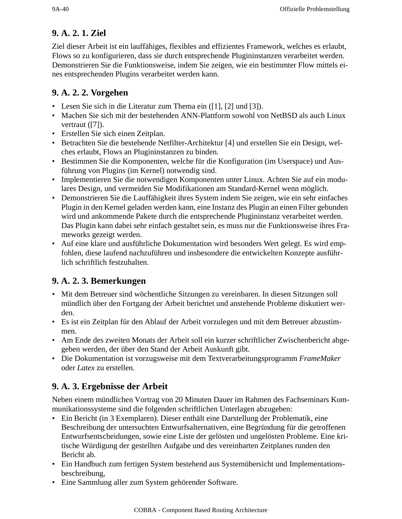## **9. A. 2. 1. Ziel**

Ziel dieser Arbeit ist ein lauffähiges, flexibles and effizientes Framework, welches es erlaubt, Flows so zu konfigurieren, dass sie durch entsprechende Plugininstanzen verarbeitet werden. Demonstrieren Sie die Funktionsweise, indem Sie zeigen, wie ein bestimmter Flow mittels eines entsprechenden Plugins verarbeitet werden kann.

## **9. A. 2. 2. Vorgehen**

- Lesen Sie sich in die Literatur zum Thema ein [\(\[1\]](#page-54-1), [\[2\]](#page-54-3) und [\[3\]](#page-54-4)).
- Machen Sie sich mit der bestehenden ANN-Plattform sowohl von NetBSD als auch Linux vertraut  $([7])$  $([7])$ .
- Erstellen Sie sich einen Zeitplan.
- Betrachten Sie die bestehende Netfilter-Architektur [\[4\]](#page-54-5) und erstellen Sie ein Design, welches erlaubt, Flows an Plugininstanzen zu binden.
- Bestimmen Sie die Komponenten, welche für die Konfiguration (im Userspace) und Ausführung von Plugins (im Kernel) notwendig sind.
- Implementieren Sie die notwendigen Komponenten unter Linux. Achten Sie auf ein modulares Design, und vermeiden Sie Modifikationen am Standard-Kernel wenn möglich.
- Demonstrieren Sie die Lauffähigkeit ihres System indem Sie zeigen, wie ein sehr einfaches Plugin in den Kernel geladen werden kann, eine Instanz des Plugin an einen Filter gebunden wird und ankommende Pakete durch die entsprechende Plugininstanz verarbeitet werden. Das Plugin kann dabei sehr einfach gestaltet sein, es muss nur die Funktionsweise ihres Frameworks gezeigt werden.
- Auf eine klare und ausführliche Dokumentation wird besonders Wert gelegt. Es wird empfohlen, diese laufend nachzuführen und insbesondere die entwickelten Konzepte ausführlich schriftlich festzuhalten.

# **9. A. 2. 3. Bemerkungen**

- Mit dem Betreuer sind wöchentliche Sitzungen zu vereinbaren. In diesen Sitzungen soll mündlich über den Fortgang der Arbeit berichtet und anstehende Probleme diskutiert werden.
- Es ist ein Zeitplan für den Ablauf der Arbeit vorzulegen und mit dem Betreuer abzustimmen.
- Am Ende des zweiten Monats der Arbeit soll ein kurzer schriftlicher Zwischenbericht abgegeben werden, der über den Stand der Arbeit Auskunft gibt.
- Die Dokumentation ist vorzugsweise mit dem Textverarbeitungsprogramm *FrameMaker*  oder *Latex* zu erstellen.

# **9. A. 3. Ergebnisse der Arbeit**

Neben einem mündlichen Vortrag von 20 Minuten Dauer im Rahmen des Fachseminars Kommunikationssysteme sind die folgenden schriftlichen Unterlagen abzugeben:

- Ein Bericht (in 3 Exemplaren). Dieser enthält eine Darstellung der Problematik, eine Beschreibung der untersuchten Entwurfsalternativen, eine Begründung für die getroffenen Entwurfsentscheidungen, sowie eine Liste der gelösten und ungelösten Probleme. Eine kritische Würdigung der gestellten Aufgabe und des vereinbarten Zeitplanes runden den Bericht ab.
- Ein Handbuch zum fertigen System bestehend aus Systemübersicht und Implementationsbeschreibung,
- Eine Sammlung aller zum System gehörender Software.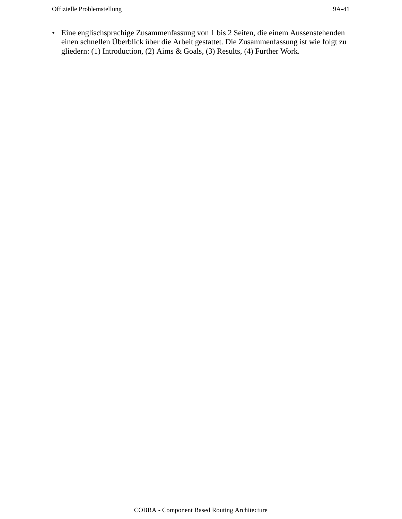• Eine englischsprachige Zusammenfassung von 1 bis 2 Seiten, die einem Aussenstehenden einen schnellen Überblick über die Arbeit gestattet. Die Zusammenfassung ist wie folgt zu gliedern: (1) Introduction, (2) Aims & Goals, (3) Results, (4) Further Work.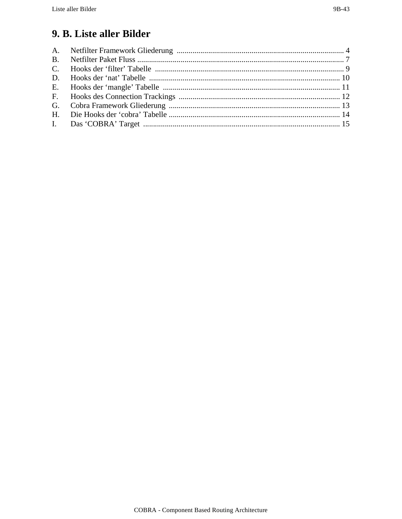## <span id="page-50-0"></span>9. B. Liste aller Bilder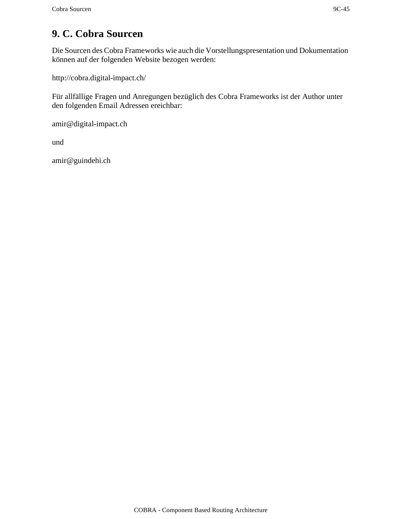# <span id="page-52-0"></span>**9. C. Cobra Sourcen**

Die Sourcen des Cobra Frameworks wie auch die Vorstellungspresentation und Dokumentation können auf der folgenden Website bezogen werden:

http://cobra.digital-impact.ch/

Für allfällige Fragen und Anregungen bezüglich des Cobra Frameworks ist der Author unter den folgenden Email Adressen ereichbar:

amir@digital-impact.ch

und

amir@guindehi.ch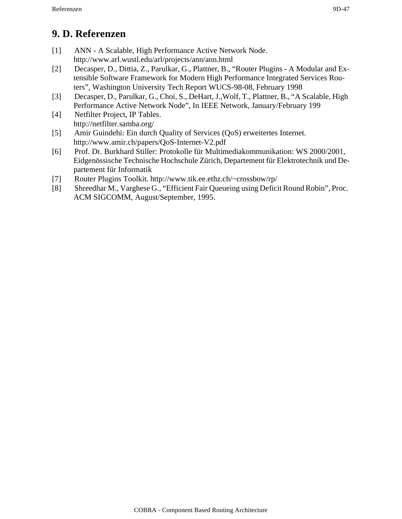## <span id="page-54-0"></span>**9. D. Referenzen**

- <span id="page-54-1"></span>[1] ANN - A Scalable, High Performance Active Network Node. http://www.arl.wustl.edu/arl/projects/ann/ann.html
- <span id="page-54-3"></span>[2] Decasper, D., Dittia, Z., Parulkar, G., Plattner, B., "Router Plugins - A Modular and Extensible Software Framework for Modern High Performance Integrated Services Routers", Washington University Tech Report WUCS-98-08, February 1998
- <span id="page-54-4"></span>[3] Decasper, D., Parulkar, G., Choi, S., DeHart, J.,Wolf, T., Plattner, B., "A Scalable, High Performance Active Network Node", In IEEE Network, January/February 199
- <span id="page-54-5"></span>[4] Netfilter Project, IP Tables. http://netfilter.samba.org/
- <span id="page-54-2"></span>[5] Amir Guindehi: Ein durch Quality of Services (QoS) erweitertes Internet. http://www.amir.ch/papers/QoS-Internet-V2.pdf
- [6] Prof. Dr. Burkhard Stiller: Protokolle für Multimediakommunikation: WS 2000/2001, Eidgenössische Technische Hochschule Zürich, Departement für Elektrotechnik und Departement für Informatik
- <span id="page-54-6"></span>[7] Router Plugins Toolkit. http://www.tik.ee.ethz.ch/~crossbow/rp/
- [8] Shreedhar M., Varghese G., "Efficient Fair Queueing using Deficit Round Robin", Proc. ACM SIGCOMM, August/September, 1995.